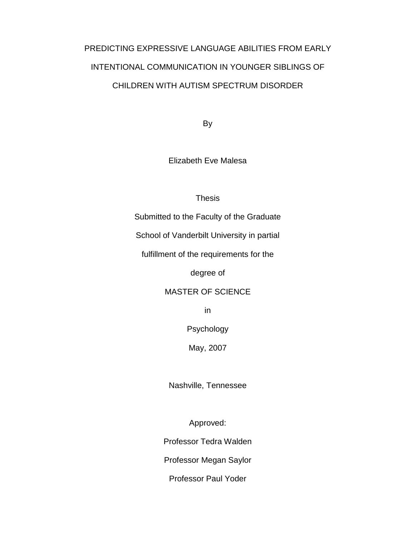# PREDICTING EXPRESSIVE LANGUAGE ABILITIES FROM EARLY INTENTIONAL COMMUNICATION IN YOUNGER SIBLINGS OF CHILDREN WITH AUTISM SPECTRUM DISORDER

By

Elizabeth Eve Malesa

### Thesis

Submitted to the Faculty of the Graduate

School of Vanderbilt University in partial

fulfillment of the requirements for the

degree of

## MASTER OF SCIENCE

in

Psychology

May, 2007

Nashville, Tennessee

Approved:

Professor Tedra Walden

Professor Megan Saylor

Professor Paul Yoder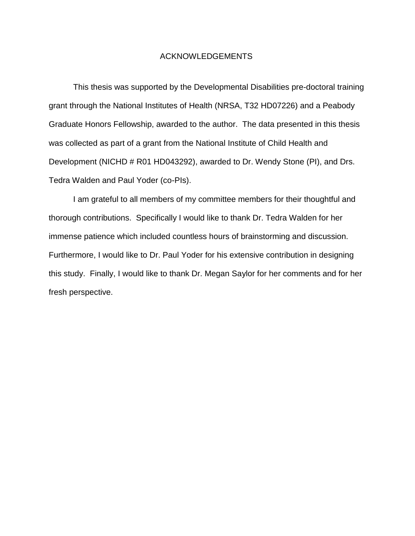#### ACKNOWLEDGEMENTS

This thesis was supported by the Developmental Disabilities pre-doctoral training grant through the National Institutes of Health (NRSA, T32 HD07226) and a Peabody Graduate Honors Fellowship, awarded to the author. The data presented in this thesis was collected as part of a grant from the National Institute of Child Health and Development (NICHD # R01 HD043292), awarded to Dr. Wendy Stone (PI), and Drs. Tedra Walden and Paul Yoder (co-PIs).

I am grateful to all members of my committee members for their thoughtful and thorough contributions. Specifically I would like to thank Dr. Tedra Walden for her immense patience which included countless hours of brainstorming and discussion. Furthermore, I would like to Dr. Paul Yoder for his extensive contribution in designing this study. Finally, I would like to thank Dr. Megan Saylor for her comments and for her fresh perspective.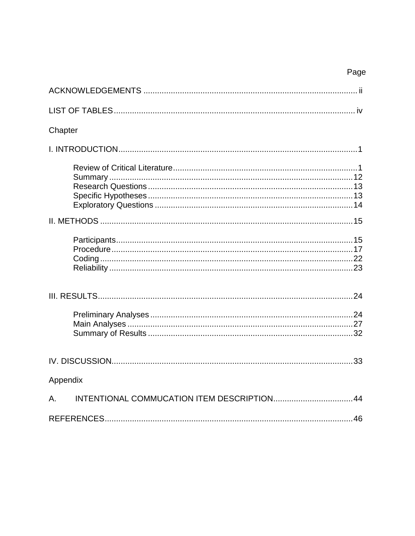## Page

| Chapter  |  |
|----------|--|
|          |  |
|          |  |
|          |  |
|          |  |
|          |  |
|          |  |
|          |  |
| Appendix |  |
| Α.       |  |
|          |  |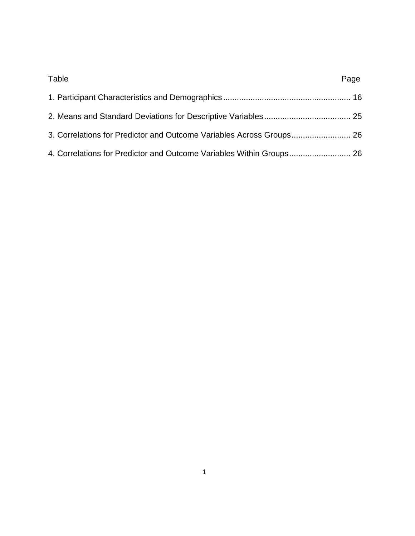| Table                                                                | Page |
|----------------------------------------------------------------------|------|
|                                                                      |      |
|                                                                      |      |
|                                                                      |      |
| 4. Correlations for Predictor and Outcome Variables Within Groups 26 |      |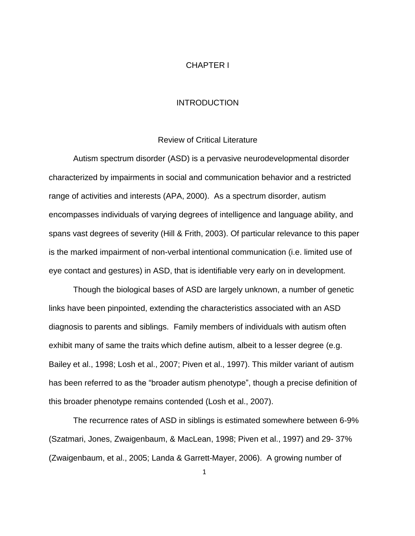#### CHAPTER I

#### INTRODUCTION

#### Review of Critical Literature

Autism spectrum disorder (ASD) is a pervasive neurodevelopmental disorder characterized by impairments in social and communication behavior and a restricted range of activities and interests (APA, 2000). As a spectrum disorder, autism encompasses individuals of varying degrees of intelligence and language ability, and spans vast degrees of severity (Hill & Frith, 2003). Of particular relevance to this paper is the marked impairment of non-verbal intentional communication (i.e. limited use of eye contact and gestures) in ASD, that is identifiable very early on in development.

Though the biological bases of ASD are largely unknown, a number of genetic links have been pinpointed, extending the characteristics associated with an ASD diagnosis to parents and siblings. Family members of individuals with autism often exhibit many of same the traits which define autism, albeit to a lesser degree (e.g. Bailey et al., 1998; Losh et al., 2007; Piven et al., 1997). This milder variant of autism has been referred to as the "broader autism phenotype", though a precise definition of this broader phenotype remains contended (Losh et al., 2007).

The recurrence rates of ASD in siblings is estimated somewhere between 6-9% (Szatmari, Jones, Zwaigenbaum, & MacLean, 1998; Piven et al., 1997) and 29- 37% (Zwaigenbaum, et al., 2005; Landa & Garrett-Mayer, 2006). A growing number of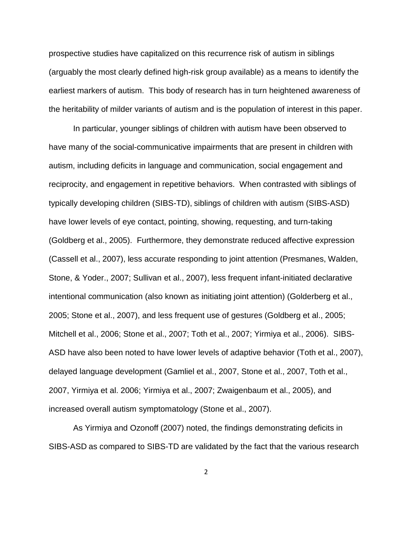prospective studies have capitalized on this recurrence risk of autism in siblings (arguably the most clearly defined high-risk group available) as a means to identify the earliest markers of autism. This body of research has in turn heightened awareness of the heritability of milder variants of autism and is the population of interest in this paper.

In particular, younger siblings of children with autism have been observed to have many of the social-communicative impairments that are present in children with autism, including deficits in language and communication, social engagement and reciprocity, and engagement in repetitive behaviors. When contrasted with siblings of typically developing children (SIBS-TD), siblings of children with autism (SIBS-ASD) have lower levels of eye contact, pointing, showing, requesting, and turn-taking (Goldberg et al., 2005). Furthermore, they demonstrate reduced affective expression (Cassell et al., 2007), less accurate responding to joint attention (Presmanes, Walden, Stone, & Yoder., 2007; Sullivan et al., 2007), less frequent infant-initiated declarative intentional communication (also known as initiating joint attention) (Golderberg et al., 2005; Stone et al., 2007), and less frequent use of gestures (Goldberg et al., 2005; Mitchell et al., 2006; Stone et al., 2007; Toth et al., 2007; Yirmiya et al., 2006). SIBS-ASD have also been noted to have lower levels of adaptive behavior (Toth et al., 2007), delayed language development (Gamliel et al., 2007, Stone et al., 2007, Toth et al., 2007, Yirmiya et al. 2006; Yirmiya et al., 2007; Zwaigenbaum et al., 2005), and increased overall autism symptomatology (Stone et al., 2007).

As Yirmiya and Ozonoff (2007) noted, the findings demonstrating deficits in SIBS-ASD as compared to SIBS-TD are validated by the fact that the various research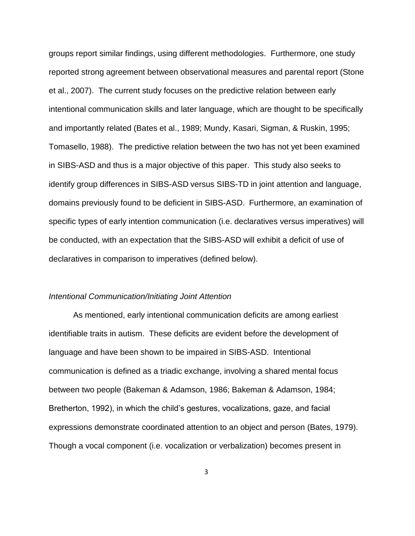groups report similar findings, using different methodologies. Furthermore, one study reported strong agreement between observational measures and parental report (Stone et al., 2007). The current study focuses on the predictive relation between early intentional communication skills and later language, which are thought to be specifically and importantly related (Bates et al., 1989; Mundy, Kasari, Sigman, & Ruskin, 1995; Tomasello, 1988). The predictive relation between the two has not yet been examined in SIBS-ASD and thus is a major objective of this paper. This study also seeks to identify group differences in SIBS-ASD versus SIBS-TD in joint attention and language, domains previously found to be deficient in SIBS-ASD. Furthermore, an examination of specific types of early intention communication (i.e. declaratives versus imperatives) will be conducted, with an expectation that the SIBS-ASD will exhibit a deficit of use of declaratives in comparison to imperatives (defined below).

#### *Intentional Communication/Initiating Joint Attention*

As mentioned, early intentional communication deficits are among earliest identifiable traits in autism. These deficits are evident before the development of language and have been shown to be impaired in SIBS-ASD. Intentional communication is defined as a triadic exchange, involving a shared mental focus between two people (Bakeman & Adamson, 1986; Bakeman & Adamson, 1984; Bretherton, 1992), in which the child's gestures, vocalizations, gaze, and facial expressions demonstrate coordinated attention to an object and person (Bates, 1979). Though a vocal component (i.e. vocalization or verbalization) becomes present in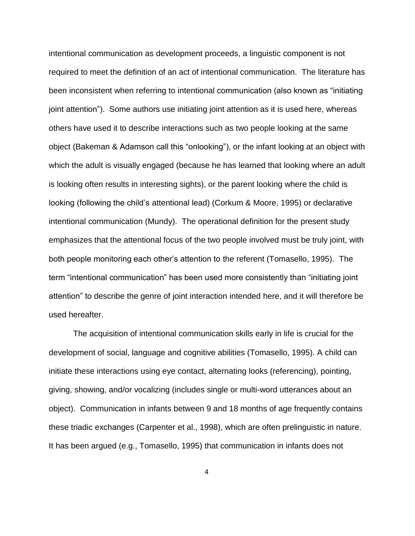intentional communication as development proceeds, a linguistic component is not required to meet the definition of an act of intentional communication. The literature has been inconsistent when referring to intentional communication (also known as "initiating joint attention"). Some authors use initiating joint attention as it is used here, whereas others have used it to describe interactions such as two people looking at the same object (Bakeman & Adamson call this "onlooking"), or the infant looking at an object with which the adult is visually engaged (because he has learned that looking where an adult is looking often results in interesting sights), or the parent looking where the child is looking (following the child's attentional lead) (Corkum & Moore, 1995) or declarative intentional communication (Mundy). The operational definition for the present study emphasizes that the attentional focus of the two people involved must be truly joint, with both people monitoring each other's attention to the referent (Tomasello, 1995). The term "intentional communication" has been used more consistently than "initiating joint attention" to describe the genre of joint interaction intended here, and it will therefore be used hereafter.

The acquisition of intentional communication skills early in life is crucial for the development of social, language and cognitive abilities (Tomasello, 1995). A child can initiate these interactions using eye contact, alternating looks (referencing), pointing, giving, showing, and/or vocalizing (includes single or multi-word utterances about an object). Communication in infants between 9 and 18 months of age frequently contains these triadic exchanges (Carpenter et al., 1998), which are often prelinguistic in nature. It has been argued (e.g., Tomasello, 1995) that communication in infants does not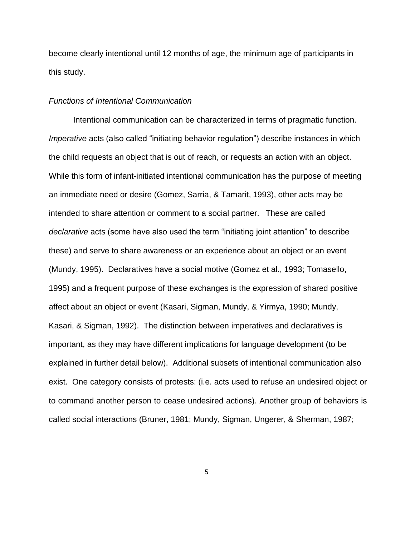become clearly intentional until 12 months of age, the minimum age of participants in this study.

#### *Functions of Intentional Communication*

Intentional communication can be characterized in terms of pragmatic function. *Imperative* acts (also called "initiating behavior regulation") describe instances in which the child requests an object that is out of reach, or requests an action with an object. While this form of infant-initiated intentional communication has the purpose of meeting an immediate need or desire (Gomez, Sarria, & Tamarit, 1993), other acts may be intended to share attention or comment to a social partner. These are called *declarative* acts (some have also used the term "initiating joint attention" to describe these) and serve to share awareness or an experience about an object or an event (Mundy, 1995). Declaratives have a social motive (Gomez et al., 1993; Tomasello, 1995) and a frequent purpose of these exchanges is the expression of shared positive affect about an object or event (Kasari, Sigman, Mundy, & Yirmya, 1990; Mundy, Kasari, & Sigman, 1992). The distinction between imperatives and declaratives is important, as they may have different implications for language development (to be explained in further detail below). Additional subsets of intentional communication also exist. One category consists of protests: (i.e. acts used to refuse an undesired object or to command another person to cease undesired actions). Another group of behaviors is called social interactions (Bruner, 1981; Mundy, Sigman, Ungerer, & Sherman, 1987;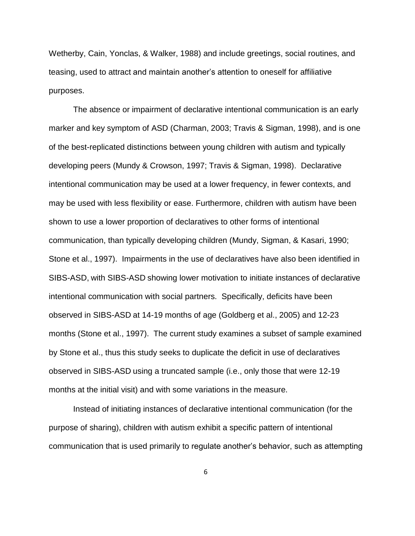Wetherby, Cain, Yonclas, & Walker, 1988) and include greetings, social routines, and teasing, used to attract and maintain another's attention to oneself for affiliative purposes.

The absence or impairment of declarative intentional communication is an early marker and key symptom of ASD (Charman, 2003; Travis & Sigman, 1998), and is one of the best-replicated distinctions between young children with autism and typically developing peers (Mundy & Crowson, 1997; Travis & Sigman, 1998). Declarative intentional communication may be used at a lower frequency, in fewer contexts, and may be used with less flexibility or ease. Furthermore, children with autism have been shown to use a lower proportion of declaratives to other forms of intentional communication, than typically developing children (Mundy, Sigman, & Kasari, 1990; Stone et al., 1997). Impairments in the use of declaratives have also been identified in SIBS-ASD, with SIBS-ASD showing lower motivation to initiate instances of declarative intentional communication with social partners. Specifically, deficits have been observed in SIBS-ASD at 14-19 months of age (Goldberg et al., 2005) and 12-23 months (Stone et al., 1997). The current study examines a subset of sample examined by Stone et al., thus this study seeks to duplicate the deficit in use of declaratives observed in SIBS-ASD using a truncated sample (i.e., only those that were 12-19 months at the initial visit) and with some variations in the measure.

Instead of initiating instances of declarative intentional communication (for the purpose of sharing), children with autism exhibit a specific pattern of intentional communication that is used primarily to regulate another's behavior, such as attempting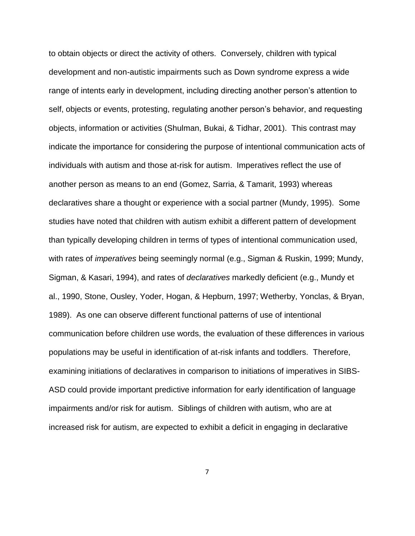to obtain objects or direct the activity of others. Conversely, children with typical development and non-autistic impairments such as Down syndrome express a wide range of intents early in development, including directing another person's attention to self, objects or events, protesting, regulating another person's behavior, and requesting objects, information or activities (Shulman, Bukai, & Tidhar, 2001). This contrast may indicate the importance for considering the purpose of intentional communication acts of individuals with autism and those at-risk for autism. Imperatives reflect the use of another person as means to an end (Gomez, Sarria, & Tamarit, 1993) whereas declaratives share a thought or experience with a social partner (Mundy, 1995). Some studies have noted that children with autism exhibit a different pattern of development than typically developing children in terms of types of intentional communication used, with rates of *imperatives* being seemingly normal (e.g., Sigman & Ruskin, 1999; Mundy, Sigman, & Kasari, 1994), and rates of *declaratives* markedly deficient (e.g., Mundy et al., 1990, Stone, Ousley, Yoder, Hogan, & Hepburn, 1997; Wetherby, Yonclas, & Bryan, 1989). As one can observe different functional patterns of use of intentional communication before children use words, the evaluation of these differences in various populations may be useful in identification of at-risk infants and toddlers. Therefore, examining initiations of declaratives in comparison to initiations of imperatives in SIBS-ASD could provide important predictive information for early identification of language impairments and/or risk for autism. Siblings of children with autism, who are at increased risk for autism, are expected to exhibit a deficit in engaging in declarative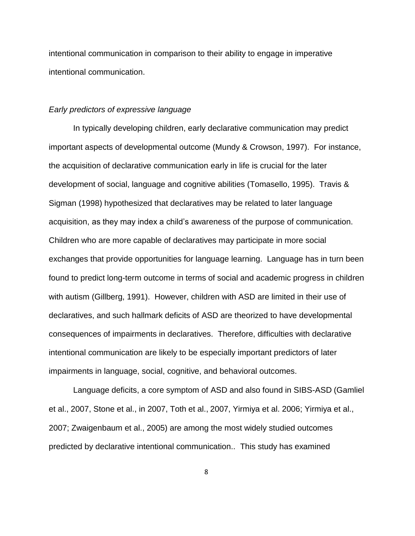intentional communication in comparison to their ability to engage in imperative intentional communication.

#### *Early predictors of expressive language*

In typically developing children, early declarative communication may predict important aspects of developmental outcome (Mundy & Crowson, 1997). For instance, the acquisition of declarative communication early in life is crucial for the later development of social, language and cognitive abilities (Tomasello, 1995). Travis & Sigman (1998) hypothesized that declaratives may be related to later language acquisition, as they may index a child's awareness of the purpose of communication. Children who are more capable of declaratives may participate in more social exchanges that provide opportunities for language learning. Language has in turn been found to predict long-term outcome in terms of social and academic progress in children with autism (Gillberg, 1991). However, children with ASD are limited in their use of declaratives, and such hallmark deficits of ASD are theorized to have developmental consequences of impairments in declaratives. Therefore, difficulties with declarative intentional communication are likely to be especially important predictors of later impairments in language, social, cognitive, and behavioral outcomes.

Language deficits, a core symptom of ASD and also found in SIBS-ASD (Gamliel et al., 2007, Stone et al., in 2007, Toth et al., 2007, Yirmiya et al. 2006; Yirmiya et al., 2007; Zwaigenbaum et al., 2005) are among the most widely studied outcomes predicted by declarative intentional communication.. This study has examined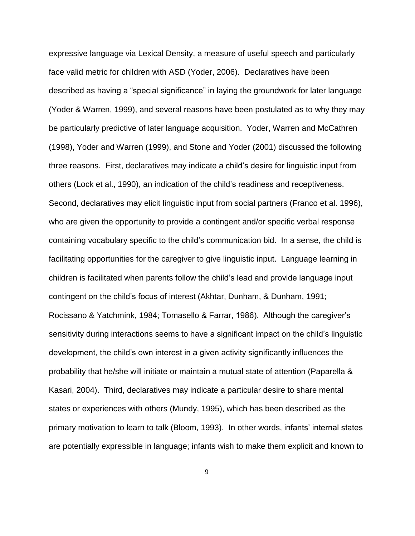expressive language via Lexical Density, a measure of useful speech and particularly face valid metric for children with ASD (Yoder, 2006). Declaratives have been described as having a "special significance" in laying the groundwork for later language (Yoder & Warren, 1999), and several reasons have been postulated as to why they may be particularly predictive of later language acquisition. Yoder, Warren and McCathren (1998), Yoder and Warren (1999), and Stone and Yoder (2001) discussed the following three reasons. First, declaratives may indicate a child's desire for linguistic input from others (Lock et al., 1990), an indication of the child's readiness and receptiveness. Second, declaratives may elicit linguistic input from social partners (Franco et al. 1996), who are given the opportunity to provide a contingent and/or specific verbal response containing vocabulary specific to the child's communication bid. In a sense, the child is facilitating opportunities for the caregiver to give linguistic input. Language learning in children is facilitated when parents follow the child's lead and provide language input contingent on the child's focus of interest (Akhtar, Dunham, & Dunham, 1991; Rocissano & Yatchmink, 1984; Tomasello & Farrar, 1986). Although the caregiver's sensitivity during interactions seems to have a significant impact on the child's linguistic development, the child's own interest in a given activity significantly influences the probability that he/she will initiate or maintain a mutual state of attention (Paparella & Kasari, 2004). Third, declaratives may indicate a particular desire to share mental states or experiences with others (Mundy, 1995), which has been described as the primary motivation to learn to talk (Bloom, 1993). In other words, infants' internal states are potentially expressible in language; infants wish to make them explicit and known to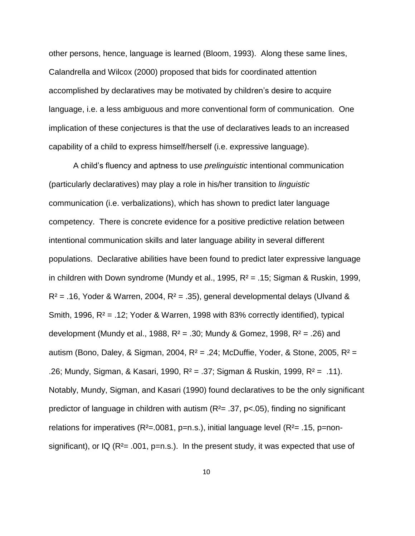other persons, hence, language is learned (Bloom, 1993). Along these same lines, Calandrella and Wilcox (2000) proposed that bids for coordinated attention accomplished by declaratives may be motivated by children's desire to acquire language, i.e. a less ambiguous and more conventional form of communication. One implication of these conjectures is that the use of declaratives leads to an increased capability of a child to express himself/herself (i.e. expressive language).

A child's fluency and aptness to use *prelinguistic* intentional communication (particularly declaratives) may play a role in his/her transition to *linguistic*  communication (i.e. verbalizations), which has shown to predict later language competency. There is concrete evidence for a positive predictive relation between intentional communication skills and later language ability in several different populations. Declarative abilities have been found to predict later expressive language in children with Down syndrome (Mundy et al., 1995,  $R^2$  = .15; Sigman & Ruskin, 1999,  $R<sup>2</sup> = .16$ , Yoder & Warren, 2004,  $R<sup>2</sup> = .35$ ), general developmental delays (Ulvand & Smith, 1996,  $R^2$  = .12; Yoder & Warren, 1998 with 83% correctly identified), typical development (Mundy et al., 1988,  $R^2$  = .30; Mundy & Gomez, 1998,  $R^2$  = .26) and autism (Bono, Daley, & Sigman, 2004,  $R^2 = .24$ ; McDuffie, Yoder, & Stone, 2005,  $R^2 =$ .26; Mundy, Sigman, & Kasari, 1990, R² = .37; Sigman & Ruskin, 1999, R² = .11). Notably, Mundy, Sigman, and Kasari (1990) found declaratives to be the only significant predictor of language in children with autism  $(R<sup>2</sup>= .37, p<.05)$ , finding no significant relations for imperatives  $(R^2=0.0081, p=n.s.)$ , initial language level  $(R^2=0.15, p=non$ significant), or IQ ( $R<sup>2</sup>=.001$ ,  $p=n.s.$ ). In the present study, it was expected that use of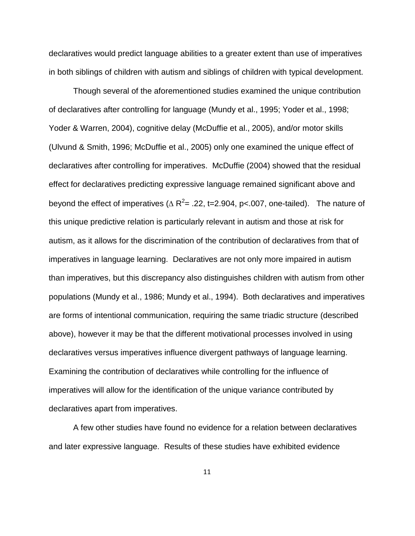declaratives would predict language abilities to a greater extent than use of imperatives in both siblings of children with autism and siblings of children with typical development.

Though several of the aforementioned studies examined the unique contribution of declaratives after controlling for language (Mundy et al., 1995; Yoder et al., 1998; Yoder & Warren, 2004), cognitive delay (McDuffie et al., 2005), and/or motor skills (Ulvund & Smith, 1996; McDuffie et al., 2005) only one examined the unique effect of declaratives after controlling for imperatives. McDuffie (2004) showed that the residual effect for declaratives predicting expressive language remained significant above and beyond the effect of imperatives ( $\Delta$  R<sup>2</sup>= .22, t=2.904, p<.007, one-tailed). The nature of this unique predictive relation is particularly relevant in autism and those at risk for autism, as it allows for the discrimination of the contribution of declaratives from that of imperatives in language learning. Declaratives are not only more impaired in autism than imperatives, but this discrepancy also distinguishes children with autism from other populations (Mundy et al., 1986; Mundy et al., 1994). Both declaratives and imperatives are forms of intentional communication, requiring the same triadic structure (described above), however it may be that the different motivational processes involved in using declaratives versus imperatives influence divergent pathways of language learning. Examining the contribution of declaratives while controlling for the influence of imperatives will allow for the identification of the unique variance contributed by declaratives apart from imperatives.

A few other studies have found no evidence for a relation between declaratives and later expressive language. Results of these studies have exhibited evidence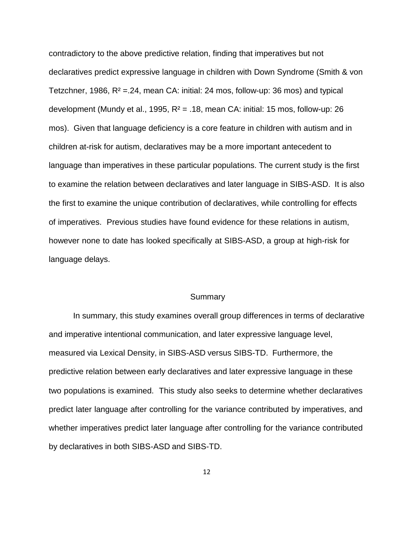contradictory to the above predictive relation, finding that imperatives but not declaratives predict expressive language in children with Down Syndrome (Smith & von Tetzchner, 1986,  $R^2 = 24$ , mean CA: initial: 24 mos, follow-up: 36 mos) and typical development (Mundy et al., 1995,  $R^2 = .18$ , mean CA: initial: 15 mos, follow-up: 26 mos). Given that language deficiency is a core feature in children with autism and in children at-risk for autism, declaratives may be a more important antecedent to language than imperatives in these particular populations. The current study is the first to examine the relation between declaratives and later language in SIBS-ASD. It is also the first to examine the unique contribution of declaratives, while controlling for effects of imperatives. Previous studies have found evidence for these relations in autism, however none to date has looked specifically at SIBS-ASD, a group at high-risk for language delays.

#### **Summary**

In summary, this study examines overall group differences in terms of declarative and imperative intentional communication, and later expressive language level, measured via Lexical Density, in SIBS-ASD versus SIBS-TD. Furthermore, the predictive relation between early declaratives and later expressive language in these two populations is examined. This study also seeks to determine whether declaratives predict later language after controlling for the variance contributed by imperatives, and whether imperatives predict later language after controlling for the variance contributed by declaratives in both SIBS-ASD and SIBS-TD.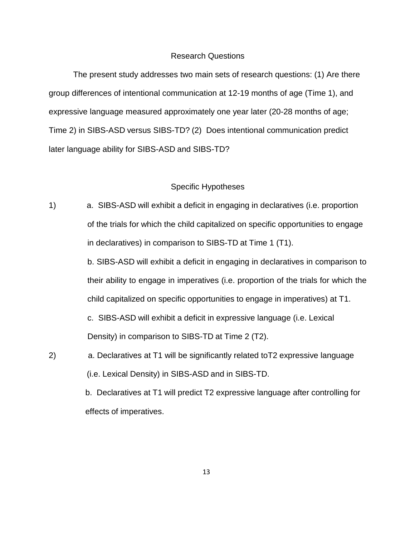#### Research Questions

The present study addresses two main sets of research questions: (1) Are there group differences of intentional communication at 12-19 months of age (Time 1), and expressive language measured approximately one year later (20-28 months of age; Time 2) in SIBS-ASD versus SIBS-TD? (2) Does intentional communication predict later language ability for SIBS-ASD and SIBS-TD?

#### Specific Hypotheses

1) a. SIBS-ASD will exhibit a deficit in engaging in declaratives (i.e. proportion of the trials for which the child capitalized on specific opportunities to engage in declaratives) in comparison to SIBS-TD at Time 1 (T1).

> b. SIBS-ASD will exhibit a deficit in engaging in declaratives in comparison to their ability to engage in imperatives (i.e. proportion of the trials for which the child capitalized on specific opportunities to engage in imperatives) at T1.

c. SIBS-ASD will exhibit a deficit in expressive language (i.e. Lexical Density) in comparison to SIBS-TD at Time 2 (T2).

2) a. Declaratives at T1 will be significantly related toT2 expressive language (i.e. Lexical Density) in SIBS-ASD and in SIBS-TD.

> b. Declaratives at T1 will predict T2 expressive language after controlling for effects of imperatives.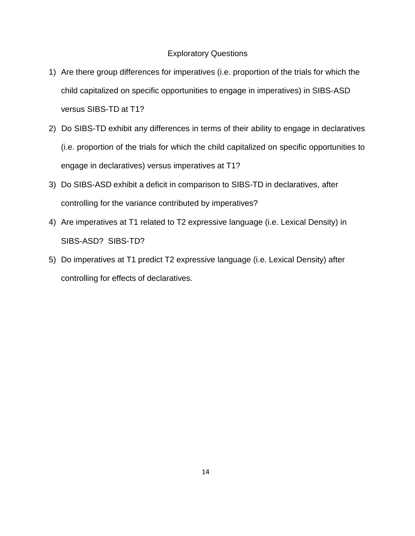#### Exploratory Questions

- 1) Are there group differences for imperatives (i.e. proportion of the trials for which the child capitalized on specific opportunities to engage in imperatives) in SIBS-ASD versus SIBS-TD at T1?
- 2) Do SIBS-TD exhibit any differences in terms of their ability to engage in declaratives (i.e. proportion of the trials for which the child capitalized on specific opportunities to engage in declaratives) versus imperatives at T1?
- 3) Do SIBS-ASD exhibit a deficit in comparison to SIBS-TD in declaratives, after controlling for the variance contributed by imperatives?
- 4) Are imperatives at T1 related to T2 expressive language (i.e. Lexical Density) in SIBS-ASD? SIBS-TD?
- 5) Do imperatives at T1 predict T2 expressive language (i.e. Lexical Density) after controlling for effects of declaratives.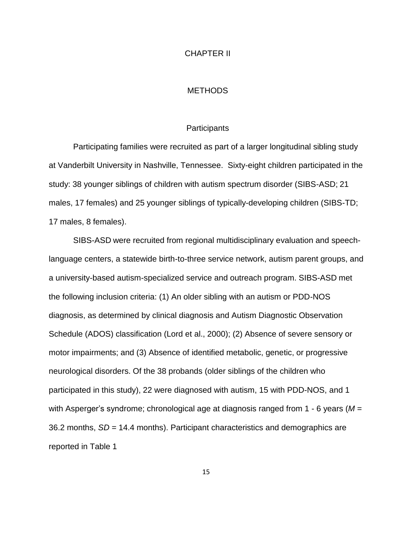#### CHAPTER II

#### **METHODS**

#### **Participants**

Participating families were recruited as part of a larger longitudinal sibling study at Vanderbilt University in Nashville, Tennessee. Sixty-eight children participated in the study: 38 younger siblings of children with autism spectrum disorder (SIBS-ASD; 21 males, 17 females) and 25 younger siblings of typically-developing children (SIBS-TD; 17 males, 8 females).

SIBS-ASD were recruited from regional multidisciplinary evaluation and speechlanguage centers, a statewide birth-to-three service network, autism parent groups, and a university-based autism-specialized service and outreach program. SIBS-ASD met the following inclusion criteria: (1) An older sibling with an autism or PDD-NOS diagnosis, as determined by clinical diagnosis and Autism Diagnostic Observation Schedule (ADOS) classification (Lord et al., 2000); (2) Absence of severe sensory or motor impairments; and (3) Absence of identified metabolic, genetic, or progressive neurological disorders. Of the 38 probands (older siblings of the children who participated in this study), 22 were diagnosed with autism, 15 with PDD-NOS, and 1 with Asperger's syndrome; chronological age at diagnosis ranged from 1 - 6 years (*M* = 36.2 months, *SD* = 14.4 months). Participant characteristics and demographics are reported in Table 1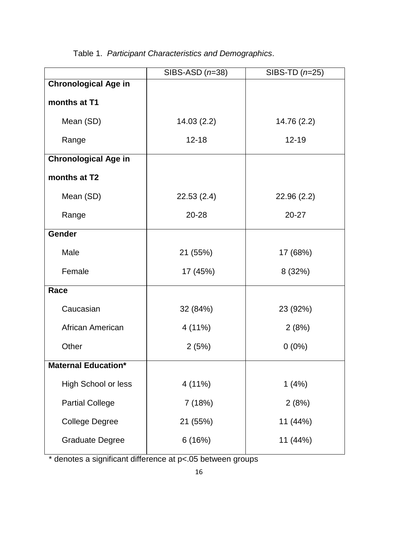| SIBS-ASD $(n=38)$ | SIBS-TD $(n=25)$ |
|-------------------|------------------|
|                   |                  |
|                   |                  |
| 14.03(2.2)        | 14.76 (2.2)      |
| $12 - 18$         | $12 - 19$        |
|                   |                  |
|                   |                  |
| 22.53(2.4)        | 22.96(2.2)       |
| 20-28             | 20-27            |
|                   |                  |
| 21 (55%)          | 17 (68%)         |
| 17 (45%)          | 8 (32%)          |
|                   |                  |
| 32 (84%)          | 23 (92%)         |
| 4 (11%)           | 2(8%)            |
| 2(5%)             | $0(0\%)$         |
|                   |                  |
| 4 (11%)           | 1(4%)            |
| 7 (18%)           | 2(8%)            |
| 21 (55%)          | 11 (44%)         |
| 6(16%)            | 11 (44%)         |
|                   |                  |

Table 1. *Participant Characteristics and Demographics*.

\* denotes a significant difference at p<.05 between groups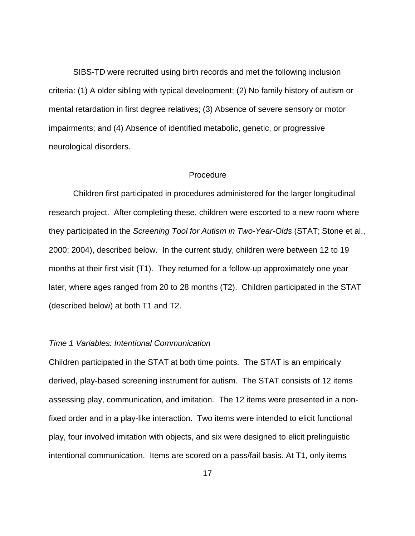SIBS-TD were recruited using birth records and met the following inclusion criteria: (1) A older sibling with typical development; (2) No family history of autism or mental retardation in first degree relatives; (3) Absence of severe sensory or motor impairments; and (4) Absence of identified metabolic, genetic, or progressive neurological disorders.

#### Procedure

Children first participated in procedures administered for the larger longitudinal research project. After completing these, children were escorted to a new room where they participated in the *Screening Tool for Autism in Two-Year-Olds* (STAT; Stone et al., 2000; 2004), described below. In the current study, children were between 12 to 19 months at their first visit (T1). They returned for a follow-up approximately one year later, where ages ranged from 20 to 28 months (T2). Children participated in the STAT (described below) at both T1 and T2.

#### *Time 1 Variables: Intentional Communication*

Children participated in the STAT at both time points. The STAT is an empirically derived, play-based screening instrument for autism. The STAT consists of 12 items assessing play, communication, and imitation. The 12 items were presented in a nonfixed order and in a play-like interaction. Two items were intended to elicit functional play, four involved imitation with objects, and six were designed to elicit prelinguistic intentional communication. Items are scored on a pass/fail basis. At T1, only items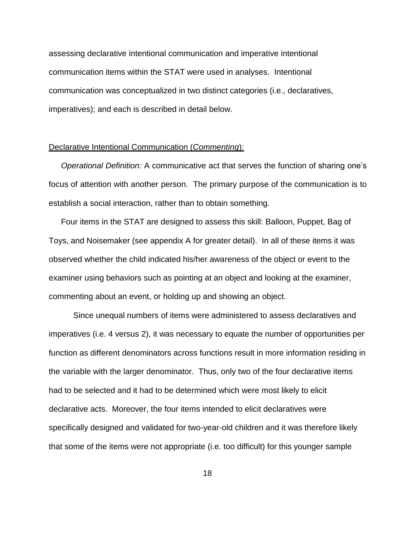assessing declarative intentional communication and imperative intentional communication items within the STAT were used in analyses. Intentional communication was conceptualized in two distinct categories (i.e., declaratives, imperatives); and each is described in detail below.

#### Declarative Intentional Communication (*Commenting*):

*Operational Definition:* A communicative act that serves the function of sharing one's focus of attention with another person. The primary purpose of the communication is to establish a social interaction, rather than to obtain something.

Four items in the STAT are designed to assess this skill: Balloon, Puppet, Bag of Toys, and Noisemaker (see appendix A for greater detail). In all of these items it was observed whether the child indicated his/her awareness of the object or event to the examiner using behaviors such as pointing at an object and looking at the examiner, commenting about an event, or holding up and showing an object.

Since unequal numbers of items were administered to assess declaratives and imperatives (i.e. 4 versus 2), it was necessary to equate the number of opportunities per function as different denominators across functions result in more information residing in the variable with the larger denominator. Thus, only two of the four declarative items had to be selected and it had to be determined which were most likely to elicit declarative acts. Moreover, the four items intended to elicit declaratives were specifically designed and validated for two-year-old children and it was therefore likely that some of the items were not appropriate (i.e. too difficult) for this younger sample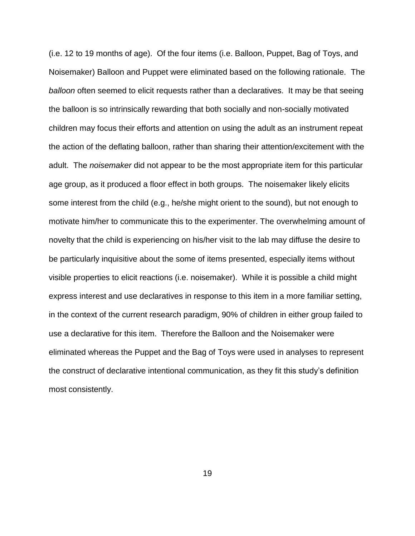(i.e. 12 to 19 months of age). Of the four items (i.e. Balloon, Puppet, Bag of Toys, and Noisemaker) Balloon and Puppet were eliminated based on the following rationale. The *balloon* often seemed to elicit requests rather than a declaratives. It may be that seeing the balloon is so intrinsically rewarding that both socially and non-socially motivated children may focus their efforts and attention on using the adult as an instrument repeat the action of the deflating balloon, rather than sharing their attention/excitement with the adult. The *noisemaker* did not appear to be the most appropriate item for this particular age group, as it produced a floor effect in both groups. The noisemaker likely elicits some interest from the child (e.g., he/she might orient to the sound), but not enough to motivate him/her to communicate this to the experimenter. The overwhelming amount of novelty that the child is experiencing on his/her visit to the lab may diffuse the desire to be particularly inquisitive about the some of items presented, especially items without visible properties to elicit reactions (i.e. noisemaker). While it is possible a child might express interest and use declaratives in response to this item in a more familiar setting, in the context of the current research paradigm, 90% of children in either group failed to use a declarative for this item. Therefore the Balloon and the Noisemaker were eliminated whereas the Puppet and the Bag of Toys were used in analyses to represent the construct of declarative intentional communication, as they fit this study's definition most consistently.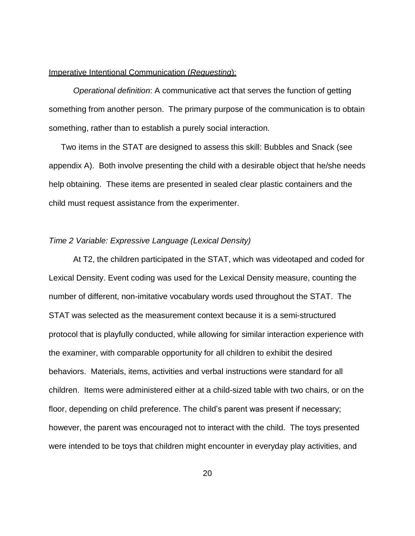#### Imperative Intentional Communication (*Requesting*):

*Operational definition*: A communicative act that serves the function of getting something from another person. The primary purpose of the communication is to obtain something, rather than to establish a purely social interaction.

Two items in the STAT are designed to assess this skill: Bubbles and Snack (see appendix A). Both involve presenting the child with a desirable object that he/she needs help obtaining. These items are presented in sealed clear plastic containers and the child must request assistance from the experimenter.

#### *Time 2 Variable: Expressive Language (Lexical Density)*

At T2, the children participated in the STAT, which was videotaped and coded for Lexical Density. Event coding was used for the Lexical Density measure, counting the number of different, non-imitative vocabulary words used throughout the STAT. The STAT was selected as the measurement context because it is a semi-structured protocol that is playfully conducted, while allowing for similar interaction experience with the examiner, with comparable opportunity for all children to exhibit the desired behaviors. Materials, items, activities and verbal instructions were standard for all children. Items were administered either at a child-sized table with two chairs, or on the floor, depending on child preference. The child's parent was present if necessary; however, the parent was encouraged not to interact with the child. The toys presented were intended to be toys that children might encounter in everyday play activities, and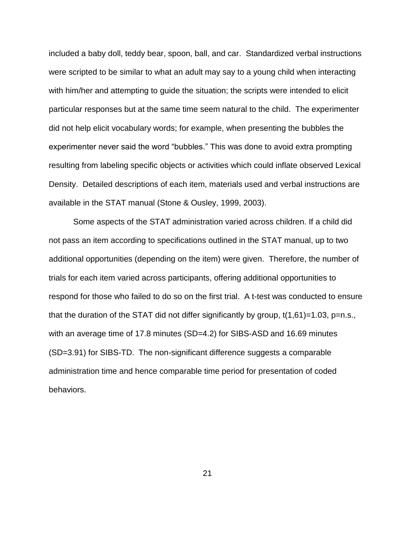included a baby doll, teddy bear, spoon, ball, and car. Standardized verbal instructions were scripted to be similar to what an adult may say to a young child when interacting with him/her and attempting to guide the situation; the scripts were intended to elicit particular responses but at the same time seem natural to the child. The experimenter did not help elicit vocabulary words; for example, when presenting the bubbles the experimenter never said the word "bubbles." This was done to avoid extra prompting resulting from labeling specific objects or activities which could inflate observed Lexical Density. Detailed descriptions of each item, materials used and verbal instructions are available in the STAT manual (Stone & Ousley, 1999, 2003).

Some aspects of the STAT administration varied across children. If a child did not pass an item according to specifications outlined in the STAT manual, up to two additional opportunities (depending on the item) were given. Therefore, the number of trials for each item varied across participants, offering additional opportunities to respond for those who failed to do so on the first trial. A t-test was conducted to ensure that the duration of the STAT did not differ significantly by group,  $t(1,61)=1.03$ , p=n.s., with an average time of 17.8 minutes (SD=4.2) for SIBS-ASD and 16.69 minutes (SD=3.91) for SIBS-TD. The non-significant difference suggests a comparable administration time and hence comparable time period for presentation of coded behaviors.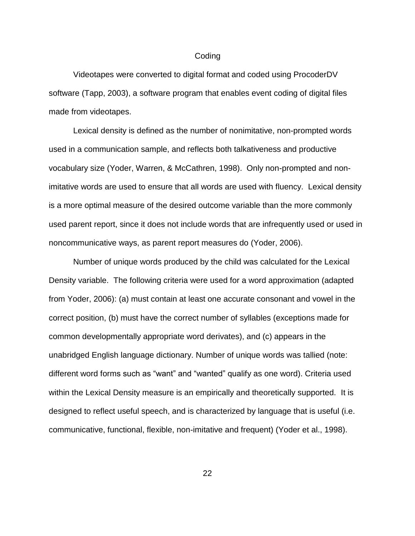#### Coding

Videotapes were converted to digital format and coded using ProcoderDV software (Tapp, 2003), a software program that enables event coding of digital files made from videotapes.

Lexical density is defined as the number of nonimitative, non-prompted words used in a communication sample, and reflects both talkativeness and productive vocabulary size (Yoder, Warren, & McCathren, 1998). Only non-prompted and nonimitative words are used to ensure that all words are used with fluency. Lexical density is a more optimal measure of the desired outcome variable than the more commonly used parent report, since it does not include words that are infrequently used or used in noncommunicative ways, as parent report measures do (Yoder, 2006).

Number of unique words produced by the child was calculated for the Lexical Density variable. The following criteria were used for a word approximation (adapted from Yoder, 2006): (a) must contain at least one accurate consonant and vowel in the correct position, (b) must have the correct number of syllables (exceptions made for common developmentally appropriate word derivates), and (c) appears in the unabridged English language dictionary. Number of unique words was tallied (note: different word forms such as "want" and "wanted" qualify as one word). Criteria used within the Lexical Density measure is an empirically and theoretically supported. It is designed to reflect useful speech, and is characterized by language that is useful (i.e. communicative, functional, flexible, non-imitative and frequent) (Yoder et al., 1998).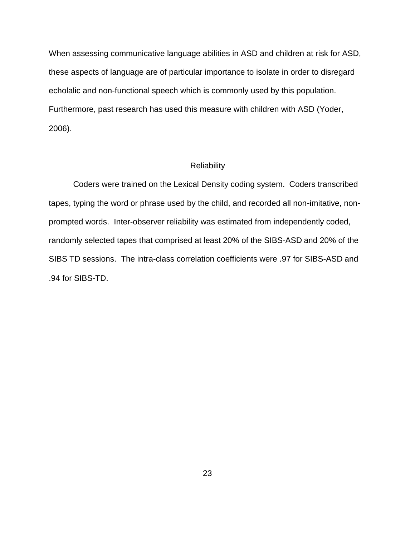When assessing communicative language abilities in ASD and children at risk for ASD, these aspects of language are of particular importance to isolate in order to disregard echolalic and non-functional speech which is commonly used by this population. Furthermore, past research has used this measure with children with ASD (Yoder, 2006).

#### **Reliability**

Coders were trained on the Lexical Density coding system. Coders transcribed tapes, typing the word or phrase used by the child, and recorded all non-imitative, nonprompted words. Inter-observer reliability was estimated from independently coded, randomly selected tapes that comprised at least 20% of the SIBS-ASD and 20% of the SIBS TD sessions. The intra-class correlation coefficients were .97 for SIBS-ASD and .94 for SIBS-TD.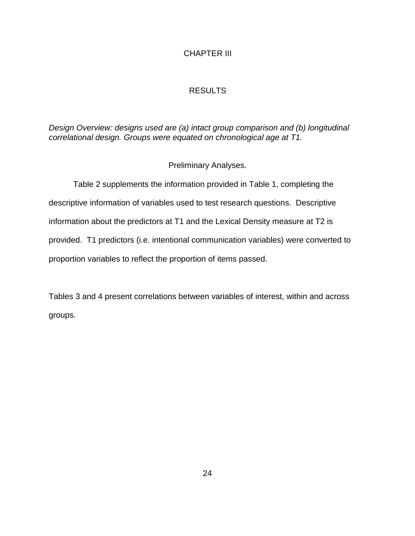## CHAPTER III

## RESULTS

## *Design Overview: designs used are (a) intact group comparison and (b) longitudinal correlational design. Groups were equated on chronological age at T1.*

## Preliminary Analyses.

Table 2 supplements the information provided in Table 1, completing the descriptive information of variables used to test research questions. Descriptive information about the predictors at T1 and the Lexical Density measure at T2 is provided. T1 predictors (i.e. intentional communication variables) were converted to proportion variables to reflect the proportion of items passed.

Tables 3 and 4 present correlations between variables of interest, within and across groups.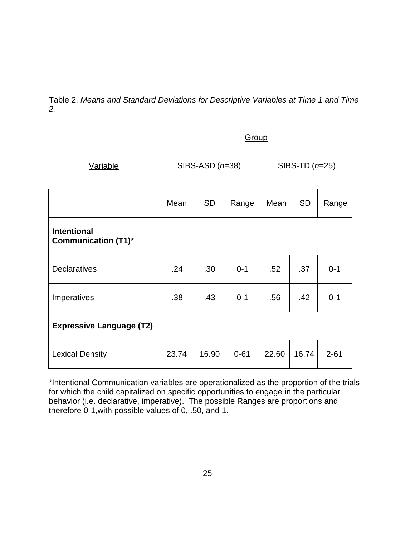Table 2. *Means and Standard Deviations for Descriptive Variables at Time 1 and Time 2.*

| <b>Variable</b>                                  | SIBS-ASD $(n=38)$ |           |          | SIBS-TD $(n=25)$ |           |          |
|--------------------------------------------------|-------------------|-----------|----------|------------------|-----------|----------|
|                                                  | Mean              | <b>SD</b> | Range    | Mean             | <b>SD</b> | Range    |
| <b>Intentional</b><br><b>Communication (T1)*</b> |                   |           |          |                  |           |          |
| <b>Declaratives</b>                              | .24               | .30       | $0 - 1$  | .52              | .37       | $0 - 1$  |
| Imperatives                                      | .38               | .43       | $0 - 1$  | .56              | .42       | $0 - 1$  |
| <b>Expressive Language (T2)</b>                  |                   |           |          |                  |           |          |
| <b>Lexical Density</b>                           | 23.74             | 16.90     | $0 - 61$ | 22.60            | 16.74     | $2 - 61$ |

**Group** 

\*Intentional Communication variables are operationalized as the proportion of the trials for which the child capitalized on specific opportunities to engage in the particular behavior (i.e. declarative, imperative). The possible Ranges are proportions and therefore 0-1,with possible values of 0, .50, and 1.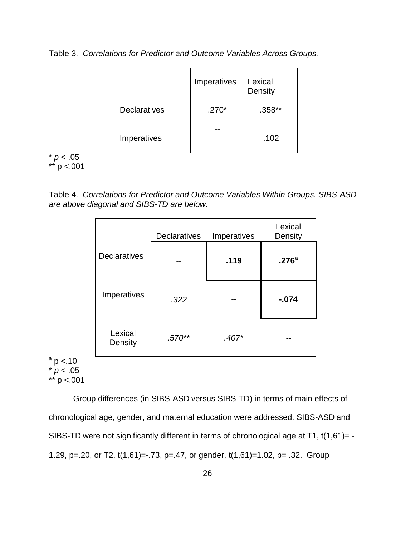Table 3. *Correlations for Predictor and Outcome Variables Across Groups.*

|                     | Imperatives | Lexical<br>Density |
|---------------------|-------------|--------------------|
| <b>Declaratives</b> | $.270*$     | $.358**$           |
| Imperatives         |             | .102               |

 $* p < .05$ \*\* p <.001

Table 4. *Correlations for Predictor and Outcome Variables Within Groups. SIBS-ASD are above diagonal and SIBS-TD are below.*

|                     | <b>Declaratives</b> | Imperatives | Lexical<br>Density |
|---------------------|---------------------|-------------|--------------------|
| <b>Declaratives</b> |                     | .119        | .276 <sup>a</sup>  |
| Imperatives         | .322                |             | $-074$             |
| Lexical<br>Density  | $.570**$            | $.407*$     |                    |

 $a$  p <.10  $* p < .05$ \*\*  $p < .001$ 

Group differences (in SIBS-ASD versus SIBS-TD) in terms of main effects of chronological age, gender, and maternal education were addressed. SIBS-ASD and SIBS-TD were not significantly different in terms of chronological age at T1, t(1,61)= -1.29, p=.20, or T2, t(1,61)=-.73, p=.47, or gender, t(1,61)=1.02, p= .32. Group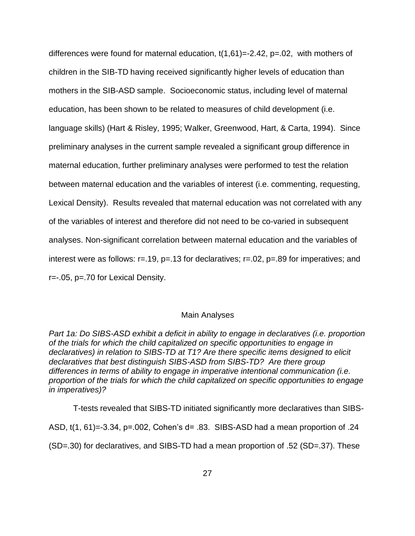differences were found for maternal education,  $t(1,61) = -2.42$ ,  $p = 0.02$ , with mothers of children in the SIB-TD having received significantly higher levels of education than mothers in the SIB-ASD sample. Socioeconomic status, including level of maternal education, has been shown to be related to measures of child development (i.e. language skills) (Hart & Risley, 1995; Walker, Greenwood, Hart, & Carta, 1994). Since preliminary analyses in the current sample revealed a significant group difference in maternal education, further preliminary analyses were performed to test the relation between maternal education and the variables of interest (i.e. commenting, requesting, Lexical Density). Results revealed that maternal education was not correlated with any of the variables of interest and therefore did not need to be co-varied in subsequent analyses. Non-significant correlation between maternal education and the variables of interest were as follows:  $r=.19$ ,  $p=.13$  for declaratives;  $r=.02$ ,  $p=.89$  for imperatives; and r=-.05, p=.70 for Lexical Density.

#### Main Analyses

*Part 1a: Do SIBS-ASD exhibit a deficit in ability to engage in declaratives (i.e. proportion of the trials for which the child capitalized on specific opportunities to engage in declaratives) in relation to SIBS-TD at T1? Are there specific items designed to elicit declaratives that best distinguish SIBS-ASD from SIBS-TD? Are there group differences in terms of ability to engage in imperative intentional communication (i.e. proportion of the trials for which the child capitalized on specific opportunities to engage in imperatives)?*

T-tests revealed that SIBS-TD initiated significantly more declaratives than SIBS-ASD, t(1, 61)=-3.34, p=.002, Cohen's d= .83. SIBS-ASD had a mean proportion of .24 (SD=.30) for declaratives, and SIBS-TD had a mean proportion of .52 (SD=.37). These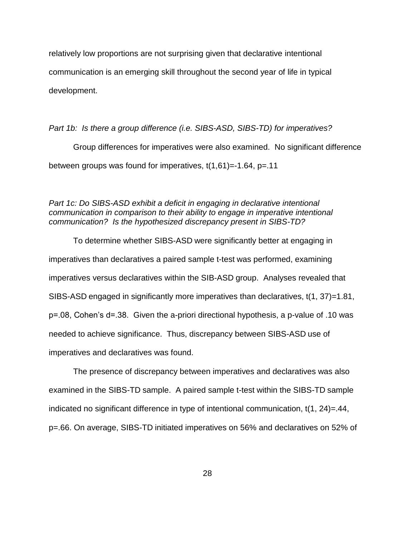relatively low proportions are not surprising given that declarative intentional communication is an emerging skill throughout the second year of life in typical development.

#### *Part 1b: Is there a group difference (i.e. SIBS-ASD, SIBS-TD) for imperatives?*

Group differences for imperatives were also examined. No significant difference between groups was found for imperatives,  $t(1,61) = -1.64$ ,  $p = 11$ 

*Part 1c: Do SIBS-ASD exhibit a deficit in engaging in declarative intentional communication in comparison to their ability to engage in imperative intentional communication? Is the hypothesized discrepancy present in SIBS-TD?*

To determine whether SIBS-ASD were significantly better at engaging in imperatives than declaratives a paired sample t-test was performed, examining imperatives versus declaratives within the SIB-ASD group. Analyses revealed that SIBS-ASD engaged in significantly more imperatives than declaratives, t(1, 37)=1.81, p=.08, Cohen's d=.38. Given the a-priori directional hypothesis, a p-value of .10 was needed to achieve significance. Thus, discrepancy between SIBS-ASD use of imperatives and declaratives was found.

The presence of discrepancy between imperatives and declaratives was also examined in the SIBS-TD sample. A paired sample t-test within the SIBS-TD sample indicated no significant difference in type of intentional communication, t(1, 24)=.44, p=.66. On average, SIBS-TD initiated imperatives on 56% and declaratives on 52% of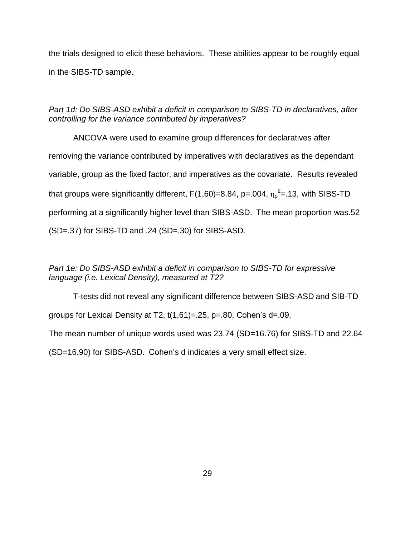the trials designed to elicit these behaviors. These abilities appear to be roughly equal in the SIBS-TD sample.

*Part 1d: Do SIBS-ASD exhibit a deficit in comparison to SIBS-TD in declaratives, after controlling for the variance contributed by imperatives?*

ANCOVA were used to examine group differences for declaratives after removing the variance contributed by imperatives with declaratives as the dependant variable, group as the fixed factor, and imperatives as the covariate. Results revealed that groups were significantly different, F(1,60)=8.84, p=.004,  $\eta_{\text{p}}^2$ =.13, with SIBS-TD performing at a significantly higher level than SIBS-ASD. The mean proportion was.52 (SD=.37) for SIBS-TD and .24 (SD=.30) for SIBS-ASD.

*Part 1e: Do SIBS-ASD exhibit a deficit in comparison to SIBS-TD for expressive language (i.e. Lexical Density), measured at T2?*

T-tests did not reveal any significant difference between SIBS-ASD and SIB-TD groups for Lexical Density at T2,  $t(1,61) = .25$ ,  $p = .80$ , Cohen's  $d = .09$ .

The mean number of unique words used was 23.74 (SD=16.76) for SIBS-TD and 22.64

(SD=16.90) for SIBS-ASD. Cohen's d indicates a very small effect size.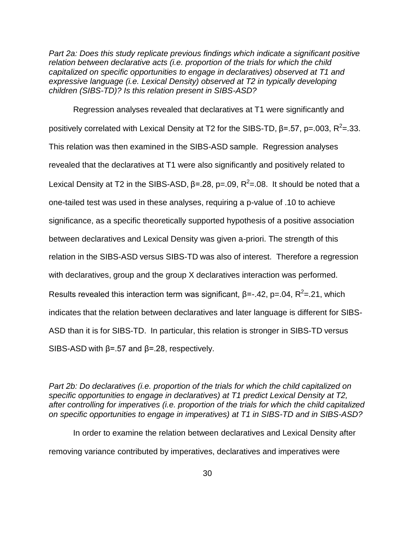*Part 2a: Does this study replicate previous findings which indicate a significant positive relation between declarative acts (i.e. proportion of the trials for which the child capitalized on specific opportunities to engage in declaratives) observed at T1 and expressive language (i.e. Lexical Density) observed at T2 in typically developing children (SIBS-TD)? Is this relation present in SIBS-ASD?*

Regression analyses revealed that declaratives at T1 were significantly and positively correlated with Lexical Density at T2 for the SIBS-TD, β=.57, p=.003, R<sup>2</sup>=.33. This relation was then examined in the SIBS-ASD sample. Regression analyses revealed that the declaratives at T1 were also significantly and positively related to Lexical Density at T2 in the SIBS-ASD,  $\beta$ =.28, p=.09, R<sup>2</sup>=.08. It should be noted that a one-tailed test was used in these analyses, requiring a p-value of .10 to achieve significance, as a specific theoretically supported hypothesis of a positive association between declaratives and Lexical Density was given a-priori. The strength of this relation in the SIBS-ASD versus SIBS-TD was also of interest. Therefore a regression with declaratives, group and the group X declaratives interaction was performed. Results revealed this interaction term was significant,  $\beta = -0.42$ ,  $p = 0.04$ ,  $R^2 = 0.21$ , which indicates that the relation between declaratives and later language is different for SIBS-ASD than it is for SIBS-TD. In particular, this relation is stronger in SIBS-TD versus SIBS-ASD with  $\beta$ =.57 and  $\beta$ =.28, respectively.

*Part 2b: Do declaratives (i.e. proportion of the trials for which the child capitalized on specific opportunities to engage in declaratives) at T1 predict Lexical Density at T2, after controlling for imperatives (i.e. proportion of the trials for which the child capitalized on specific opportunities to engage in imperatives) at T1 in SIBS-TD and in SIBS-ASD?*

In order to examine the relation between declaratives and Lexical Density after removing variance contributed by imperatives, declaratives and imperatives were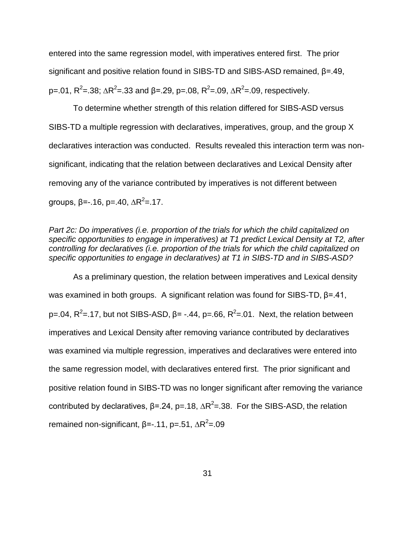entered into the same regression model, with imperatives entered first. The prior significant and positive relation found in SIBS-TD and SIBS-ASD remained, β=.49, p=.01, R<sup>2</sup>=.38; ΔR<sup>2</sup>=.33 and β=.29, p=.08, R<sup>2</sup>=.09, ΔR<sup>2</sup>=.09, respectively.

To determine whether strength of this relation differed for SIBS-ASD versus SIBS-TD a multiple regression with declaratives, imperatives, group, and the group X declaratives interaction was conducted. Results revealed this interaction term was nonsignificant, indicating that the relation between declaratives and Lexical Density after removing any of the variance contributed by imperatives is not different between groups, β=-.16, p=.40, ∆R<sup>2</sup>=.17.

*Part 2c: Do imperatives (i.e. proportion of the trials for which the child capitalized on specific opportunities to engage in imperatives) at T1 predict Lexical Density at T2, after controlling for declaratives (i.e. proportion of the trials for which the child capitalized on specific opportunities to engage in declaratives) at T1 in SIBS-TD and in SIBS-ASD?*

As a preliminary question, the relation between imperatives and Lexical density was examined in both groups. A significant relation was found for SIBS-TD, β=.41, p=.04, R<sup>2</sup>=.17, but not SIBS-ASD,  $\beta$ = -.44, p=.66, R<sup>2</sup>=.01. Next, the relation between imperatives and Lexical Density after removing variance contributed by declaratives was examined via multiple regression, imperatives and declaratives were entered into the same regression model, with declaratives entered first. The prior significant and positive relation found in SIBS-TD was no longer significant after removing the variance contributed by declaratives,  $\beta$ =.24, p=.18,  $\Delta R^2$ =.38. For the SIBS-ASD, the relation remained non-significant, β=-.11, p=.51, ΔR<sup>2</sup>=.09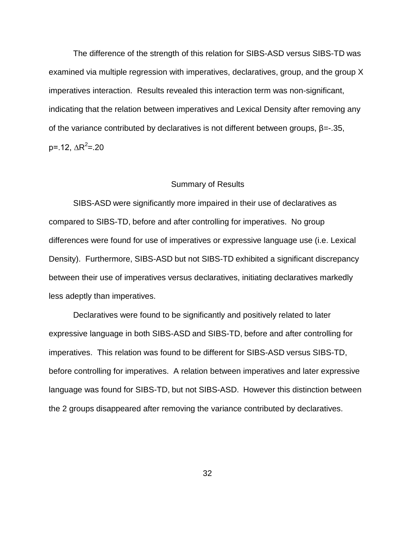The difference of the strength of this relation for SIBS-ASD versus SIBS-TD was examined via multiple regression with imperatives, declaratives, group, and the group X imperatives interaction. Results revealed this interaction term was non-significant, indicating that the relation between imperatives and Lexical Density after removing any of the variance contributed by declaratives is not different between groups,  $β = -0.35$ , p=.12, ∆R<sup>2</sup>=.20

#### Summary of Results

SIBS-ASD were significantly more impaired in their use of declaratives as compared to SIBS-TD, before and after controlling for imperatives. No group differences were found for use of imperatives or expressive language use (i.e. Lexical Density). Furthermore, SIBS-ASD but not SIBS-TD exhibited a significant discrepancy between their use of imperatives versus declaratives, initiating declaratives markedly less adeptly than imperatives.

Declaratives were found to be significantly and positively related to later expressive language in both SIBS-ASD and SIBS-TD, before and after controlling for imperatives. This relation was found to be different for SIBS-ASD versus SIBS-TD, before controlling for imperatives. A relation between imperatives and later expressive language was found for SIBS-TD, but not SIBS-ASD. However this distinction between the 2 groups disappeared after removing the variance contributed by declaratives.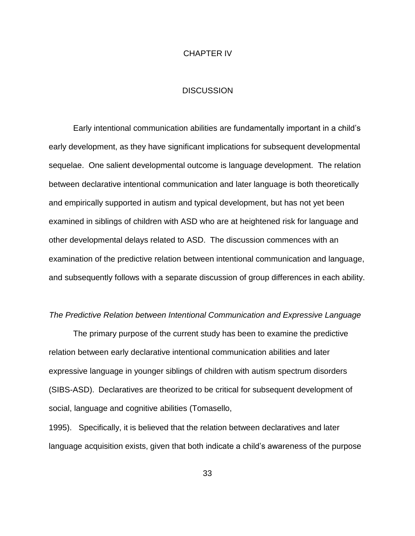#### CHAPTER IV

#### **DISCUSSION**

Early intentional communication abilities are fundamentally important in a child's early development, as they have significant implications for subsequent developmental sequelae. One salient developmental outcome is language development. The relation between declarative intentional communication and later language is both theoretically and empirically supported in autism and typical development, but has not yet been examined in siblings of children with ASD who are at heightened risk for language and other developmental delays related to ASD. The discussion commences with an examination of the predictive relation between intentional communication and language, and subsequently follows with a separate discussion of group differences in each ability.

#### *The Predictive Relation between Intentional Communication and Expressive Language*

The primary purpose of the current study has been to examine the predictive relation between early declarative intentional communication abilities and later expressive language in younger siblings of children with autism spectrum disorders (SIBS-ASD). Declaratives are theorized to be critical for subsequent development of social, language and cognitive abilities (Tomasello,

1995). Specifically, it is believed that the relation between declaratives and later language acquisition exists, given that both indicate a child's awareness of the purpose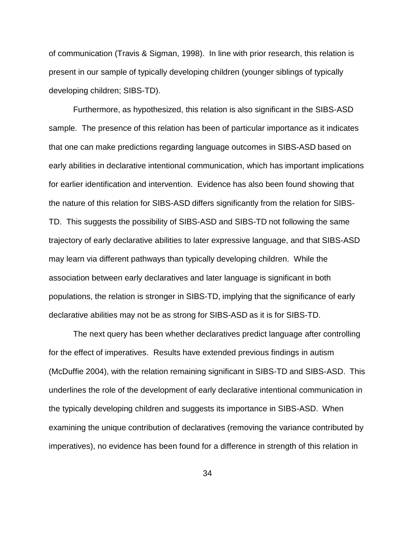of communication (Travis & Sigman, 1998). In line with prior research, this relation is present in our sample of typically developing children (younger siblings of typically developing children; SIBS-TD).

Furthermore, as hypothesized, this relation is also significant in the SIBS-ASD sample. The presence of this relation has been of particular importance as it indicates that one can make predictions regarding language outcomes in SIBS-ASD based on early abilities in declarative intentional communication, which has important implications for earlier identification and intervention. Evidence has also been found showing that the nature of this relation for SIBS-ASD differs significantly from the relation for SIBS-TD. This suggests the possibility of SIBS-ASD and SIBS-TD not following the same trajectory of early declarative abilities to later expressive language, and that SIBS-ASD may learn via different pathways than typically developing children. While the association between early declaratives and later language is significant in both populations, the relation is stronger in SIBS-TD, implying that the significance of early declarative abilities may not be as strong for SIBS-ASD as it is for SIBS-TD.

The next query has been whether declaratives predict language after controlling for the effect of imperatives. Results have extended previous findings in autism (McDuffie 2004), with the relation remaining significant in SIBS-TD and SIBS-ASD. This underlines the role of the development of early declarative intentional communication in the typically developing children and suggests its importance in SIBS-ASD. When examining the unique contribution of declaratives (removing the variance contributed by imperatives), no evidence has been found for a difference in strength of this relation in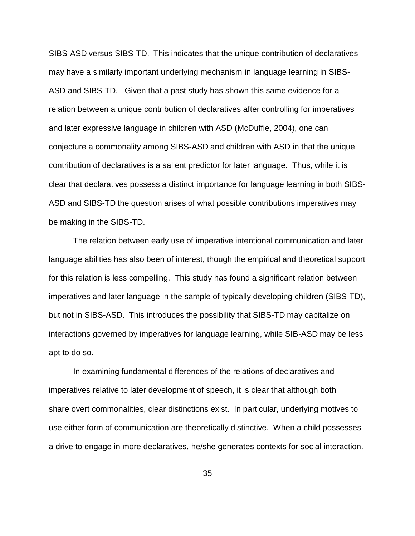SIBS-ASD versus SIBS-TD. This indicates that the unique contribution of declaratives may have a similarly important underlying mechanism in language learning in SIBS-ASD and SIBS-TD. Given that a past study has shown this same evidence for a relation between a unique contribution of declaratives after controlling for imperatives and later expressive language in children with ASD (McDuffie, 2004), one can conjecture a commonality among SIBS-ASD and children with ASD in that the unique contribution of declaratives is a salient predictor for later language. Thus, while it is clear that declaratives possess a distinct importance for language learning in both SIBS-ASD and SIBS-TD the question arises of what possible contributions imperatives may be making in the SIBS-TD.

The relation between early use of imperative intentional communication and later language abilities has also been of interest, though the empirical and theoretical support for this relation is less compelling. This study has found a significant relation between imperatives and later language in the sample of typically developing children (SIBS-TD), but not in SIBS-ASD. This introduces the possibility that SIBS-TD may capitalize on interactions governed by imperatives for language learning, while SIB-ASD may be less apt to do so.

In examining fundamental differences of the relations of declaratives and imperatives relative to later development of speech, it is clear that although both share overt commonalities, clear distinctions exist. In particular, underlying motives to use either form of communication are theoretically distinctive. When a child possesses a drive to engage in more declaratives, he/she generates contexts for social interaction.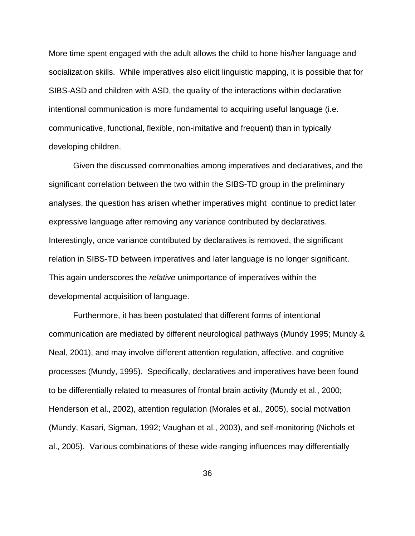More time spent engaged with the adult allows the child to hone his/her language and socialization skills. While imperatives also elicit linguistic mapping, it is possible that for SIBS-ASD and children with ASD, the quality of the interactions within declarative intentional communication is more fundamental to acquiring useful language (i.e. communicative, functional, flexible, non-imitative and frequent) than in typically developing children.

Given the discussed commonalties among imperatives and declaratives, and the significant correlation between the two within the SIBS-TD group in the preliminary analyses, the question has arisen whether imperatives might continue to predict later expressive language after removing any variance contributed by declaratives. Interestingly, once variance contributed by declaratives is removed, the significant relation in SIBS-TD between imperatives and later language is no longer significant. This again underscores the *relative* unimportance of imperatives within the developmental acquisition of language.

Furthermore, it has been postulated that different forms of intentional communication are mediated by different neurological pathways (Mundy 1995; Mundy & Neal, 2001), and may involve different attention regulation, affective, and cognitive processes (Mundy, 1995). Specifically, declaratives and imperatives have been found to be differentially related to measures of frontal brain activity (Mundy et al., 2000; Henderson et al., 2002), attention regulation (Morales et al., 2005), social motivation (Mundy, Kasari, Sigman, 1992; Vaughan et al., 2003), and self-monitoring (Nichols et al., 2005). Various combinations of these wide-ranging influences may differentially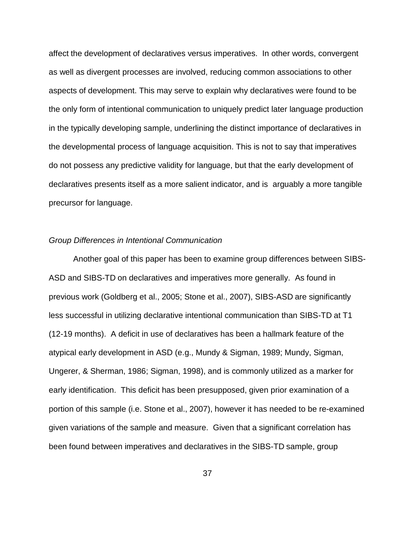affect the development of declaratives versus imperatives. In other words, convergent as well as divergent processes are involved, reducing common associations to other aspects of development. This may serve to explain why declaratives were found to be the only form of intentional communication to uniquely predict later language production in the typically developing sample, underlining the distinct importance of declaratives in the developmental process of language acquisition. This is not to say that imperatives do not possess any predictive validity for language, but that the early development of declaratives presents itself as a more salient indicator, and is arguably a more tangible precursor for language.

#### *Group Differences in Intentional Communication*

Another goal of this paper has been to examine group differences between SIBS-ASD and SIBS-TD on declaratives and imperatives more generally. As found in previous work (Goldberg et al., 2005; Stone et al., 2007), SIBS-ASD are significantly less successful in utilizing declarative intentional communication than SIBS-TD at T1 (12-19 months). A deficit in use of declaratives has been a hallmark feature of the atypical early development in ASD (e.g., Mundy & Sigman, 1989; Mundy, Sigman, Ungerer, & Sherman, 1986; Sigman, 1998), and is commonly utilized as a marker for early identification. This deficit has been presupposed, given prior examination of a portion of this sample (i.e. Stone et al., 2007), however it has needed to be re-examined given variations of the sample and measure. Given that a significant correlation has been found between imperatives and declaratives in the SIBS-TD sample, group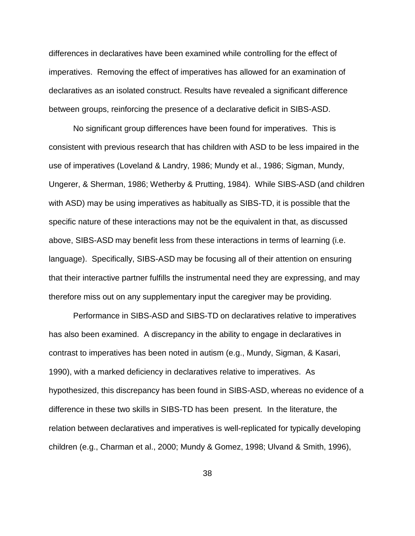differences in declaratives have been examined while controlling for the effect of imperatives. Removing the effect of imperatives has allowed for an examination of declaratives as an isolated construct. Results have revealed a significant difference between groups, reinforcing the presence of a declarative deficit in SIBS-ASD.

No significant group differences have been found for imperatives. This is consistent with previous research that has children with ASD to be less impaired in the use of imperatives (Loveland & Landry, 1986; Mundy et al., 1986; Sigman, Mundy, Ungerer, & Sherman, 1986; Wetherby & Prutting, 1984). While SIBS-ASD (and children with ASD) may be using imperatives as habitually as SIBS-TD, it is possible that the specific nature of these interactions may not be the equivalent in that, as discussed above, SIBS-ASD may benefit less from these interactions in terms of learning (i.e. language). Specifically, SIBS-ASD may be focusing all of their attention on ensuring that their interactive partner fulfills the instrumental need they are expressing, and may therefore miss out on any supplementary input the caregiver may be providing.

Performance in SIBS-ASD and SIBS-TD on declaratives relative to imperatives has also been examined. A discrepancy in the ability to engage in declaratives in contrast to imperatives has been noted in autism (e.g., Mundy, Sigman, & Kasari, 1990), with a marked deficiency in declaratives relative to imperatives. As hypothesized, this discrepancy has been found in SIBS-ASD, whereas no evidence of a difference in these two skills in SIBS-TD has been present. In the literature, the relation between declaratives and imperatives is well-replicated for typically developing children (e.g., Charman et al., 2000; Mundy & Gomez, 1998; Ulvand & Smith, 1996),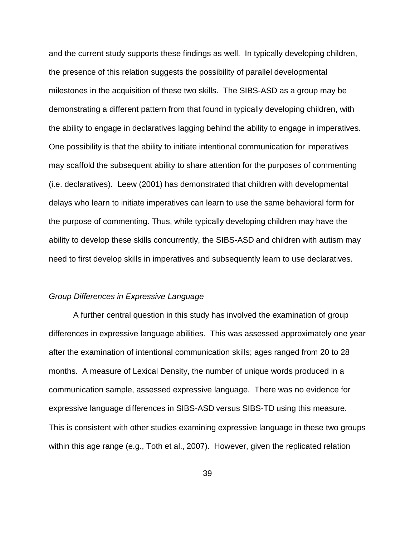and the current study supports these findings as well. In typically developing children, the presence of this relation suggests the possibility of parallel developmental milestones in the acquisition of these two skills. The SIBS-ASD as a group may be demonstrating a different pattern from that found in typically developing children, with the ability to engage in declaratives lagging behind the ability to engage in imperatives. One possibility is that the ability to initiate intentional communication for imperatives may scaffold the subsequent ability to share attention for the purposes of commenting (i.e. declaratives). Leew (2001) has demonstrated that children with developmental delays who learn to initiate imperatives can learn to use the same behavioral form for the purpose of commenting. Thus, while typically developing children may have the ability to develop these skills concurrently, the SIBS-ASD and children with autism may need to first develop skills in imperatives and subsequently learn to use declaratives.

#### *Group Differences in Expressive Language*

A further central question in this study has involved the examination of group differences in expressive language abilities. This was assessed approximately one year after the examination of intentional communication skills; ages ranged from 20 to 28 months. A measure of Lexical Density, the number of unique words produced in a communication sample, assessed expressive language. There was no evidence for expressive language differences in SIBS-ASD versus SIBS-TD using this measure. This is consistent with other studies examining expressive language in these two groups within this age range (e.g., Toth et al., 2007). However, given the replicated relation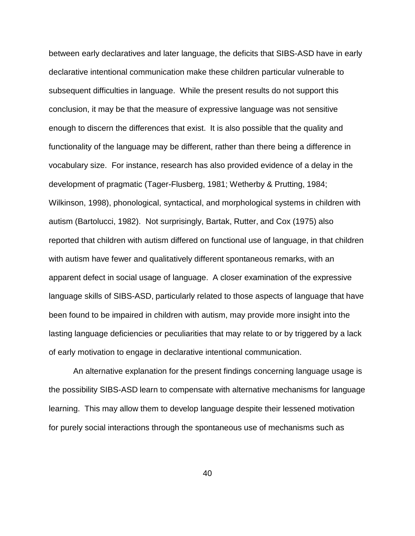between early declaratives and later language, the deficits that SIBS-ASD have in early declarative intentional communication make these children particular vulnerable to subsequent difficulties in language. While the present results do not support this conclusion, it may be that the measure of expressive language was not sensitive enough to discern the differences that exist. It is also possible that the quality and functionality of the language may be different, rather than there being a difference in vocabulary size. For instance, research has also provided evidence of a delay in the development of pragmatic (Tager-Flusberg, 1981; Wetherby & Prutting, 1984; Wilkinson, 1998), phonological, syntactical, and morphological systems in children with autism (Bartolucci, 1982). Not surprisingly, Bartak, Rutter, and Cox (1975) also reported that children with autism differed on functional use of language, in that children with autism have fewer and qualitatively different spontaneous remarks, with an apparent defect in social usage of language. A closer examination of the expressive language skills of SIBS-ASD, particularly related to those aspects of language that have been found to be impaired in children with autism, may provide more insight into the lasting language deficiencies or peculiarities that may relate to or by triggered by a lack of early motivation to engage in declarative intentional communication.

An alternative explanation for the present findings concerning language usage is the possibility SIBS-ASD learn to compensate with alternative mechanisms for language learning. This may allow them to develop language despite their lessened motivation for purely social interactions through the spontaneous use of mechanisms such as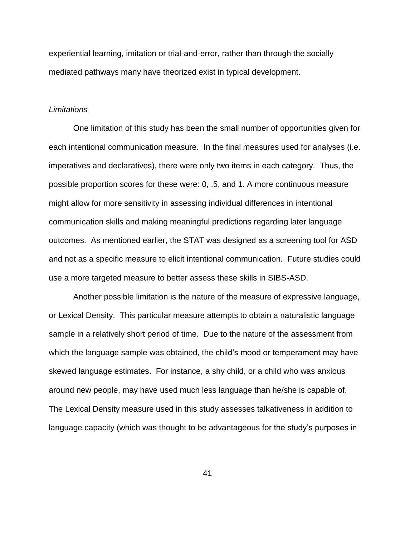experiential learning, imitation or trial-and-error, rather than through the socially mediated pathways many have theorized exist in typical development.

#### *Limitations*

One limitation of this study has been the small number of opportunities given for each intentional communication measure. In the final measures used for analyses (i.e. imperatives and declaratives), there were only two items in each category. Thus, the possible proportion scores for these were: 0, .5, and 1. A more continuous measure might allow for more sensitivity in assessing individual differences in intentional communication skills and making meaningful predictions regarding later language outcomes. As mentioned earlier, the STAT was designed as a screening tool for ASD and not as a specific measure to elicit intentional communication. Future studies could use a more targeted measure to better assess these skills in SIBS-ASD.

Another possible limitation is the nature of the measure of expressive language, or Lexical Density. This particular measure attempts to obtain a naturalistic language sample in a relatively short period of time. Due to the nature of the assessment from which the language sample was obtained, the child's mood or temperament may have skewed language estimates. For instance, a shy child, or a child who was anxious around new people, may have used much less language than he/she is capable of. The Lexical Density measure used in this study assesses talkativeness in addition to language capacity (which was thought to be advantageous for the study's purposes in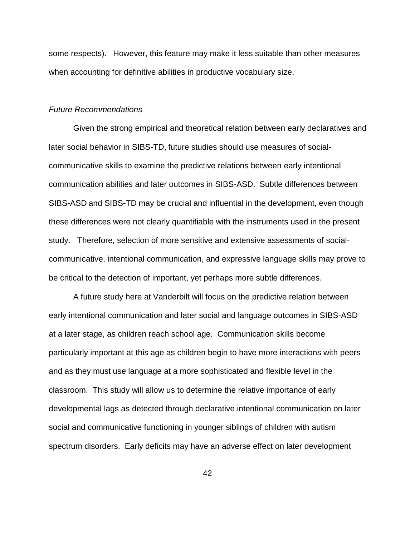some respects). However, this feature may make it less suitable than other measures when accounting for definitive abilities in productive vocabulary size.

#### *Future Recommendations*

Given the strong empirical and theoretical relation between early declaratives and later social behavior in SIBS-TD, future studies should use measures of socialcommunicative skills to examine the predictive relations between early intentional communication abilities and later outcomes in SIBS-ASD. Subtle differences between SIBS-ASD and SIBS-TD may be crucial and influential in the development, even though these differences were not clearly quantifiable with the instruments used in the present study. Therefore, selection of more sensitive and extensive assessments of socialcommunicative, intentional communication, and expressive language skills may prove to be critical to the detection of important, yet perhaps more subtle differences.

A future study here at Vanderbilt will focus on the predictive relation between early intentional communication and later social and language outcomes in SIBS-ASD at a later stage, as children reach school age. Communication skills become particularly important at this age as children begin to have more interactions with peers and as they must use language at a more sophisticated and flexible level in the classroom. This study will allow us to determine the relative importance of early developmental lags as detected through declarative intentional communication on later social and communicative functioning in younger siblings of children with autism spectrum disorders. Early deficits may have an adverse effect on later development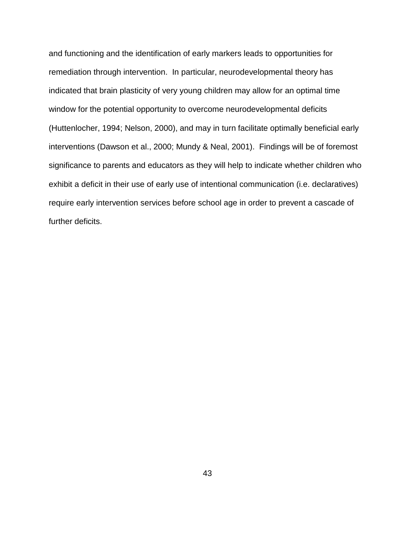and functioning and the identification of early markers leads to opportunities for remediation through intervention. In particular, neurodevelopmental theory has indicated that brain plasticity of very young children may allow for an optimal time window for the potential opportunity to overcome neurodevelopmental deficits (Huttenlocher, 1994; Nelson, 2000), and may in turn facilitate optimally beneficial early interventions (Dawson et al., 2000; Mundy & Neal, 2001). Findings will be of foremost significance to parents and educators as they will help to indicate whether children who exhibit a deficit in their use of early use of intentional communication (i.e. declaratives) require early intervention services before school age in order to prevent a cascade of further deficits.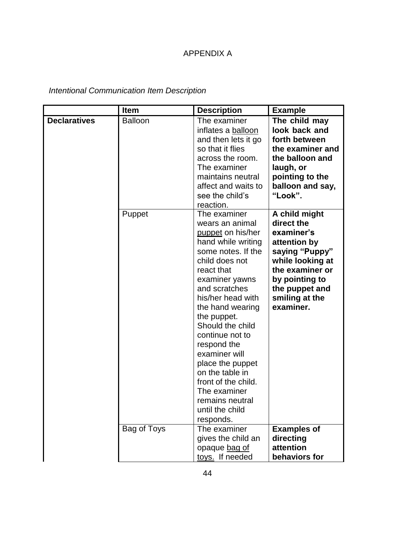## APPENDIX A

*Intentional Communication Item Description*

|                     | <b>Item</b>    | <b>Description</b>                                                                                                                                                                                                                                                                                                                                                                                                                  | <b>Example</b>                                                                                                                                                                        |
|---------------------|----------------|-------------------------------------------------------------------------------------------------------------------------------------------------------------------------------------------------------------------------------------------------------------------------------------------------------------------------------------------------------------------------------------------------------------------------------------|---------------------------------------------------------------------------------------------------------------------------------------------------------------------------------------|
| <b>Declaratives</b> | <b>Balloon</b> | The examiner<br>inflates a balloon<br>and then lets it go<br>so that it flies<br>across the room.<br>The examiner<br>maintains neutral<br>affect and waits to<br>see the child's<br>reaction.                                                                                                                                                                                                                                       | The child may<br>look back and<br>forth between<br>the examiner and<br>the balloon and<br>laugh, or<br>pointing to the<br>balloon and say,<br>"Look".                                 |
|                     | Puppet         | The examiner<br>wears an animal<br>puppet on his/her<br>hand while writing<br>some notes. If the<br>child does not<br>react that<br>examiner yawns<br>and scratches<br>his/her head with<br>the hand wearing<br>the puppet.<br>Should the child<br>continue not to<br>respond the<br>examiner will<br>place the puppet<br>on the table in<br>front of the child.<br>The examiner<br>remains neutral<br>until the child<br>responds. | A child might<br>direct the<br>examiner's<br>attention by<br>saying "Puppy"<br>while looking at<br>the examiner or<br>by pointing to<br>the puppet and<br>smiling at the<br>examiner. |
|                     | Bag of Toys    | The examiner<br>gives the child an<br>opaque bag of<br>toys. If needed                                                                                                                                                                                                                                                                                                                                                              | <b>Examples of</b><br>directing<br>attention<br>behaviors for                                                                                                                         |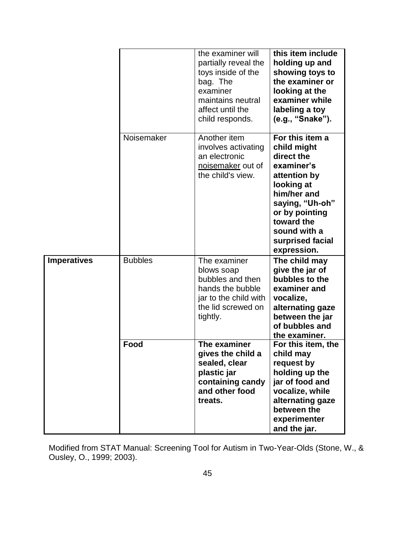|                    |                | the examiner will<br>partially reveal the<br>toys inside of the<br>bag. The<br>examiner<br>maintains neutral<br>affect until the<br>child responds. | this item include<br>holding up and<br>showing toys to<br>the examiner or<br>looking at the<br>examiner while<br>labeling a toy<br>(e.g., "Snake").                                                           |
|--------------------|----------------|-----------------------------------------------------------------------------------------------------------------------------------------------------|---------------------------------------------------------------------------------------------------------------------------------------------------------------------------------------------------------------|
|                    | Noisemaker     | Another item<br>involves activating<br>an electronic<br>noisemaker out of<br>the child's view.                                                      | For this item a<br>child might<br>direct the<br>examiner's<br>attention by<br>looking at<br>him/her and<br>saying, "Uh-oh"<br>or by pointing<br>toward the<br>sound with a<br>surprised facial<br>expression. |
| <b>Imperatives</b> | <b>Bubbles</b> | The examiner<br>blows soap<br>bubbles and then<br>hands the bubble<br>jar to the child with<br>the lid screwed on<br>tightly.                       | The child may<br>give the jar of<br>bubbles to the<br>examiner and<br>vocalize,<br>alternating gaze<br>between the jar<br>of bubbles and<br>the examiner.                                                     |
|                    | Food           | The examiner<br>gives the child a<br>sealed, clear<br>plastic jar<br>containing candy<br>and other food<br>treats.                                  | For this item, the<br>child may<br>request by<br>holding up the<br>jar of food and<br>vocalize, while<br>alternating gaze<br>between the<br>experimenter<br>and the jar.                                      |

Modified from STAT Manual: Screening Tool for Autism in Two-Year-Olds (Stone, W., & Ousley, O., 1999; 2003).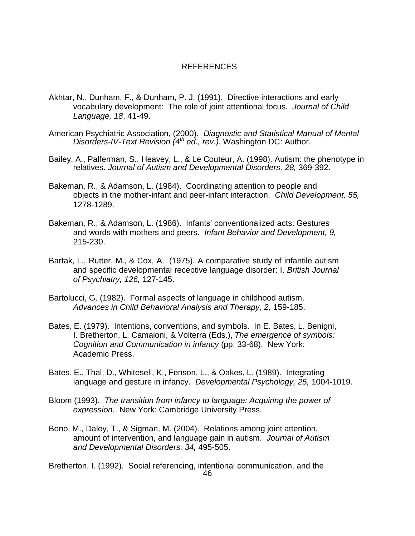#### REFERENCES

- Akhtar, N., Dunham, F., & Dunham, P. J. (1991). Directive interactions and early vocabulary development: The role of joint attentional focus*. Journal of Child Language, 18*, 41-49.
- American Psychiatric Association, (2000). *Diagnostic and Statistical Manual of Mental Disorders-IV-Text Revision (4 th ed., rev.).* Washington DC: Author.
- Bailey, A., Palferman, S., Heavey, L., & Le Couteur, A. (1998). Autism: the phenotype in relatives. *Journal of Autism and Developmental Disorders, 28,* 369-392.
- Bakeman, R., & Adamson, L. (1984). Coordinating attention to people and objects in the mother-infant and peer-infant interaction. *Child Development, 55,* 1278-1289.
- Bakeman, R., & Adamson, L. (1986). Infants' conventionalized acts: Gestures and words with mothers and peers. *Infant Behavior and Development, 9,* 215-230.
- Bartak, L., Rutter, M., & Cox, A. (1975). A comparative study of infantile autism and specific developmental receptive language disorder: I. *British Journal of Psychiatry, 126,* 127-145.
- Bartolucci, G. (1982). Formal aspects of language in childhood autism. *Advances in Child Behavioral Analysis and Therapy, 2,* 159-185.
- Bates, E. (1979). Intentions, conventions, and symbols. In E. Bates, L. Benigni, I. Bretherton, L. Camaioni, & Volterra (Eds.), *The emergence of symbols: Cognition and Communication in infancy* (pp. 33-68). New York: Academic Press.
- Bates, E., Thal, D., Whitesell, K., Fenson, L., & Oakes, L. (1989). Integrating language and gesture in infancy. *Developmental Psychology, 25,* 1004-1019.
- Bloom (1993). *The transition from infancy to language: Acquiring the power of expression.* New York: Cambridge University Press.
- Bono, M., Daley, T., & Sigman, M. (2004). Relations among joint attention, amount of intervention, and language gain in autism. *Journal of Autism and Developmental Disorders, 34,* 495-505.

Bretherton, I. (1992). Social referencing, intentional communication, and the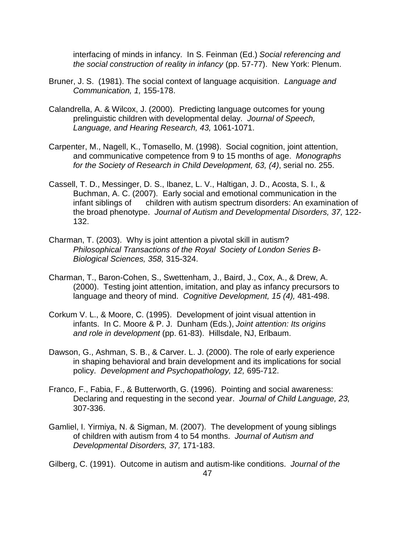interfacing of minds in infancy. In S. Feinman (Ed.) *Social referencing and the social construction of reality in infancy* (pp. 57-77). New York: Plenum.

- Bruner, J. S. (1981). The social context of language acquisition. *Language and Communication, 1,* 155-178.
- Calandrella, A. & Wilcox, J. (2000). Predicting language outcomes for young prelinguistic children with developmental delay. *Journal of Speech, Language, and Hearing Research, 43,* 1061-1071.
- Carpenter, M., Nagell, K., Tomasello, M. (1998). Social cognition, joint attention, and communicative competence from 9 to 15 months of age. *Monographs for the Society of Research in Child Development, 63, (4)*, serial no. 255.
- Cassell, T. D., Messinger, D. S., Ibanez, L. V., Haltigan, J. D., Acosta, S. I., & Buchman, A. C. (2007). Early social and emotional communication in the infant siblings of children with autism spectrum disorders: An examination of the broad phenotype. *Journal of Autism and Developmental Disorders, 37,* 122- 132.
- Charman, T. (2003). Why is joint attention a pivotal skill in autism? *Philosophical Transactions of the Royal Society of London Series B-Biological Sciences, 358,* 315-324.
- Charman, T., Baron-Cohen, S., Swettenham, J., Baird, J., Cox, A., & Drew, A. (2000). Testing joint attention, imitation, and play as infancy precursors to language and theory of mind. *Cognitive Development, 15 (4),* 481-498.
- Corkum V. L., & Moore, C. (1995). Development of joint visual attention in infants. In C. Moore & P. J. Dunham (Eds.), *Joint attention: Its origins and role in development* (pp. 61-83). Hillsdale, NJ, Erlbaum.
- Dawson, G., Ashman, S. B., & Carver. L. J. (2000). The role of early experience in shaping behavioral and brain development and its implications for social policy. *Development and Psychopathology, 12,* 695-712.
- Franco, F., Fabia, F., & Butterworth, G. (1996). Pointing and social awareness: Declaring and requesting in the second year. *Journal of Child Language, 23,* 307-336.
- Gamliel, I. Yirmiya, N. & Sigman, M. (2007). The development of young siblings of children with autism from 4 to 54 months. *Journal of Autism and Developmental Disorders, 37,* 171-183.

Gilberg, C. (1991). Outcome in autism and autism-like conditions. *Journal of the*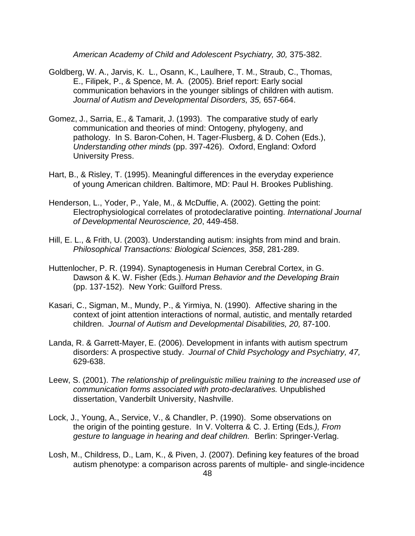*American Academy of Child and Adolescent Psychiatry, 30,* 375-382.

- Goldberg, W. A., Jarvis, K. L., Osann, K., Laulhere, T. M., Straub, C., Thomas, E., Filipek, P., & Spence, M. A. (2005). Brief report: Early social communication behaviors in the younger siblings of children with autism. *Journal of Autism and Developmental Disorders, 35,* 657-664.
- Gomez, J., Sarria, E., & Tamarit, J. (1993). The comparative study of early communication and theories of mind: Ontogeny, phylogeny, and pathology. In S. Baron-Cohen, H. Tager-Flusberg, & D. Cohen (Eds.), *Understanding other minds* (pp. 397-426). Oxford, England: Oxford University Press.
- Hart, B., & Risley, T. (1995). Meaningful differences in the everyday experience of young American children. Baltimore, MD: Paul H. Brookes Publishing.
- Henderson, L., Yoder, P., Yale, M., & McDuffie, A. (2002). Getting the point: Electrophysiological correlates of protodeclarative pointing. *International Journal of Developmental Neuroscience, 20*, 449-458.
- Hill, E. L., & Frith, U. (2003). Understanding autism: insights from mind and brain. *Philosophical Transactions: Biological Sciences, 358*, 281-289.
- Huttenlocher, P. R. (1994). Synaptogenesis in Human Cerebral Cortex, in G. Dawson & K. W. Fisher (Eds.). *Human Behavior and the Developing Brain* (pp. 137-152). New York: Guilford Press.
- Kasari, C., Sigman, M., Mundy, P., & Yirmiya, N. (1990). Affective sharing in the context of joint attention interactions of normal, autistic, and mentally retarded children. *Journal of Autism and Developmental Disabilities, 20,* 87-100.
- Landa, R. & Garrett-Mayer, E. (2006). Development in infants with autism spectrum disorders: A prospective study. *Journal of Child Psychology and Psychiatry, 47,* 629-638.
- Leew, S. (2001). *The relationship of prelinguistic milieu training to the increased use of communication forms associated with proto-declaratives.* Unpublished dissertation, Vanderbilt University, Nashville.
- Lock, J., Young, A., Service, V., & Chandler, P. (1990). Some observations on the origin of the pointing gesture. In V. Volterra & C. J. Erting (Eds*.), From gesture to language in hearing and deaf children.* Berlin: Springer-Verlag.
- Losh, M., Childress, D., Lam, K., & Piven, J. (2007). Defining key features of the broad autism phenotype: a comparison across parents of multiple- and single-incidence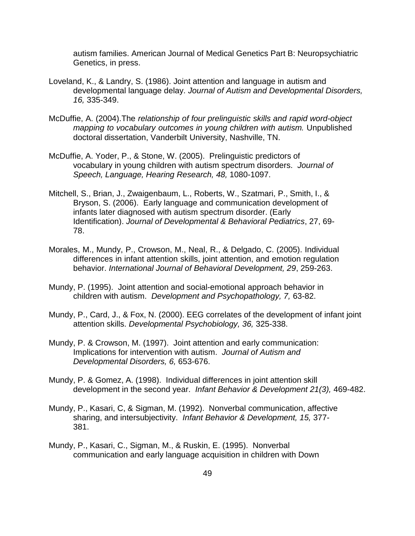autism families. American Journal of Medical Genetics Part B: Neuropsychiatric Genetics, in press.

- Loveland, K., & Landry, S. (1986). Joint attention and language in autism and developmental language delay. *Journal of Autism and Developmental Disorders, 16,* 335-349.
- McDuffie, A. (2004).The *relationship of four prelinguistic skills and rapid word-object mapping to vocabulary outcomes in young children with autism.* Unpublished doctoral dissertation, Vanderbilt University, Nashville, TN.
- McDuffie, A. Yoder, P., & Stone, W. (2005). Prelinguistic predictors of vocabulary in young children with autism spectrum disorders. *Journal of Speech, Language, Hearing Research, 48,* 1080-1097.
- Mitchell, S., Brian, J., Zwaigenbaum, L., Roberts, W., Szatmari, P., Smith, I., & Bryson, S. (2006). Early language and communication development of infants later diagnosed with autism spectrum disorder. (Early Identification). *Journal of Developmental & Behavioral Pediatrics*, 27, 69- 78.
- Morales, M., Mundy, P., Crowson, M., Neal, R., & Delgado, C. (2005). Individual differences in infant attention skills, joint attention, and emotion regulation behavior. *International Journal of Behavioral Development, 29*, 259-263.
- Mundy, P. (1995). Joint attention and social-emotional approach behavior in children with autism. *Development and Psychopathology, 7,* 63-82.
- Mundy, P., Card, J., & Fox, N. (2000). EEG correlates of the development of infant joint attention skills. *Developmental Psychobiology, 36,* 325-338.
- Mundy, P. & Crowson, M. (1997). Joint attention and early communication: Implications for intervention with autism. *Journal of Autism and Developmental Disorders, 6,* 653-676.
- Mundy, P. & Gomez, A. (1998). Individual differences in joint attention skill development in the second year. *Infant Behavior & Development 21(3),* 469-482.
- Mundy, P., Kasari, C, & Sigman, M. (1992). Nonverbal communication, affective sharing, and intersubjectivity. *Infant Behavior & Development, 15,* 377- 381.
- Mundy, P., Kasari, C., Sigman, M., & Ruskin, E. (1995). Nonverbal communication and early language acquisition in children with Down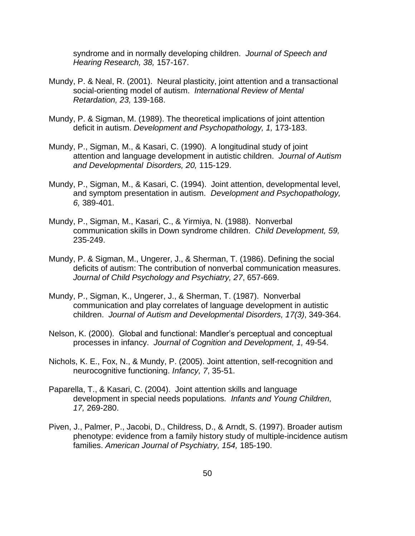syndrome and in normally developing children. *Journal of Speech and Hearing Research, 38,* 157-167.

- Mundy, P. & Neal, R. (2001). Neural plasticity, joint attention and a transactional social-orienting model of autism. *International Review of Mental Retardation, 23,* 139-168.
- Mundy, P. & Sigman, M. (1989). The theoretical implications of joint attention deficit in autism. *Development and Psychopathology, 1,* 173-183.
- Mundy, P., Sigman, M., & Kasari, C. (1990). A longitudinal study of joint attention and language development in autistic children. *Journal of Autism and Developmental Disorders, 20,* 115-129.
- Mundy, P., Sigman, M., & Kasari, C. (1994). Joint attention, developmental level, and symptom presentation in autism. *Development and Psychopathology, 6,* 389-401.
- Mundy, P., Sigman, M., Kasari, C., & Yirmiya, N. (1988). Nonverbal communication skills in Down syndrome children. *Child Development, 59,* 235-249.
- Mundy, P. & Sigman, M., Ungerer, J., & Sherman, T. (1986). Defining the social deficits of autism: The contribution of nonverbal communication measures. *Journal of Child Psychology and Psychiatry, 27*, 657-669.
- Mundy, P., Sigman, K., Ungerer, J., & Sherman, T. (1987). Nonverbal communication and play correlates of language development in autistic children. *Journal of Autism and Developmental Disorders, 17(3)*, 349-364.
- Nelson, K. (2000). Global and functional: Mandler's perceptual and conceptual processes in infancy. *Journal of Cognition and Development, 1,* 49-54.
- Nichols, K. E., Fox, N., & Mundy, P. (2005). Joint attention, self-recognition and neurocognitive functioning. *Infancy, 7*, 35-51.
- Paparella, T., & Kasari, C. (2004). Joint attention skills and language development in special needs populations. *Infants and Young Children, 17,* 269-280.
- Piven, J., Palmer, P., Jacobi, D., Childress, D., & Arndt, S. (1997). Broader autism phenotype: evidence from a family history study of multiple-incidence autism families. *American Journal of Psychiatry, 154,* 185-190.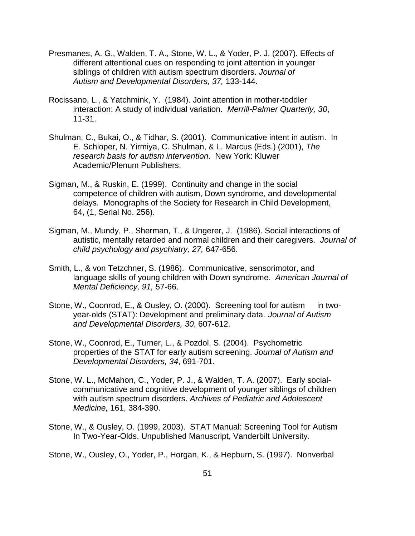- Presmanes, A. G., Walden, T. A., Stone, W. L., & Yoder, P. J. (2007). Effects of different attentional cues on responding to joint attention in younger siblings of children with autism spectrum disorders. *Journal of Autism and Developmental Disorders, 37,* 133-144.
- Rocissano, L., & Yatchmink, Y. (1984). Joint attention in mother-toddler interaction: A study of individual variation. *Merrill-Palmer Quarterly, 30*, 11-31.
- Shulman, C., Bukai, O., & Tidhar, S. (2001). Communicative intent in autism. In E. Schloper, N. Yirmiya, C. Shulman, & L. Marcus (Eds.) (2001), *The research basis for autism intervention*. New York: Kluwer Academic/Plenum Publishers.
- Sigman, M., & Ruskin, E. (1999). Continuity and change in the social competence of children with autism, Down syndrome, and developmental delays. Monographs of the Society for Research in Child Development, 64, (1, Serial No. 256).
- Sigman, M., Mundy, P., Sherman, T., & Ungerer, J. (1986). Social interactions of autistic, mentally retarded and normal children and their caregivers. *Journal of child psychology and psychiatry, 27,* 647-656.
- Smith, L., & von Tetzchner, S. (1986). Communicative, sensorimotor, and language skills of young children with Down syndrome. *American Journal of Mental Deficiency, 91,* 57-66.
- Stone, W., Coonrod, E., & Ousley, O. (2000). Screening tool for autism in twoyear-olds (STAT): Development and preliminary data. *Journal of Autism and Developmental Disorders, 30*, 607-612.
- Stone, W., Coonrod, E., Turner, L., & Pozdol, S. (2004). Psychometric properties of the STAT for early autism screening. *Journal of Autism and Developmental Disorders, 34*, 691-701.
- Stone, W. L., McMahon, C., Yoder, P. J., & Walden, T. A. (2007). Early socialcommunicative and cognitive development of younger siblings of children with autism spectrum disorders. *Archives of Pediatric and Adolescent Medicine,* 161, 384-390.
- Stone, W., & Ousley, O. (1999, 2003). STAT Manual: Screening Tool for Autism In Two-Year-Olds. Unpublished Manuscript, Vanderbilt University.
- Stone, W., Ousley, O., Yoder, P., Horgan, K., & Hepburn, S. (1997). Nonverbal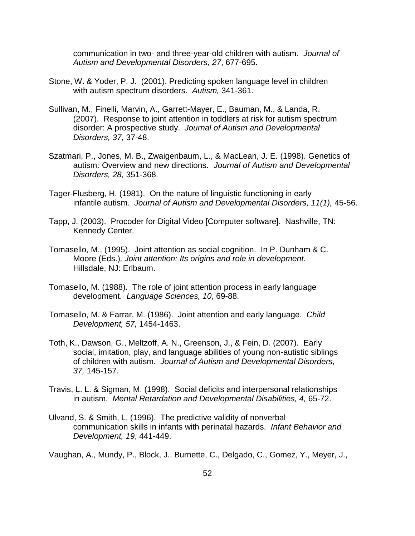communication in two- and three-year-old children with autism. *Journal of Autism and Developmental Disorders, 27*, 677-695.

- Stone, W. & Yoder, P. J. (2001). Predicting spoken language level in children with autism spectrum disorders. *Autism,* 341-361.
- Sullivan, M., Finelli, Marvin, A., Garrett-Mayer, E., Bauman, M., & Landa, R. (2007). Response to joint attention in toddlers at risk for autism spectrum disorder: A prospective study. *Journal of Autism and Developmental Disorders, 37,* 37-48.
- Szatmari, P., Jones, M. B., Zwaigenbaum, L., & MacLean, J. E. (1998). Genetics of autism: Overview and new directions. *Journal of Autism and Developmental Disorders, 28,* 351-368.
- Tager-Flusberg, H. (1981). On the nature of linguistic functioning in early infantile autism. *Journal of Autism and Developmental Disorders, 11(1),* 45-56.
- Tapp, J. (2003). Procoder for Digital Video [Computer software]. Nashville, TN: Kennedy Center.
- Tomasello, M., (1995). Joint attention as social cognition. In P. Dunham & C. Moore (Eds.)*, Joint attention: Its origins and role in development*. Hillsdale, NJ: Erlbaum.
- Tomasello, M. (1988). The role of joint attention process in early language development. *Language Sciences, 10*, 69-88.
- Tomasello, M. & Farrar, M. (1986). Joint attention and early language. *Child Development, 57,* 1454-1463.
- Toth, K., Dawson, G., Meltzoff, A. N., Greenson, J., & Fein, D. (2007). Early social, imitation, play, and language abilities of young non-autistic siblings of children with autism. *Journal of Autism and Developmental Disorders, 37,* 145-157.
- Travis, L. L. & Sigman, M. (1998). Social deficits and interpersonal relationships in autism. *Mental Retardation and Developmental Disabilities, 4,* 65-72.
- Ulvand, S. & Smith, L. (1996). The predictive validity of nonverbal communication skills in infants with perinatal hazards. *Infant Behavior and Development, 19*, 441-449.

Vaughan, A., Mundy, P., Block, J., Burnette, C., Delgado, C., Gomez, Y., Meyer, J.,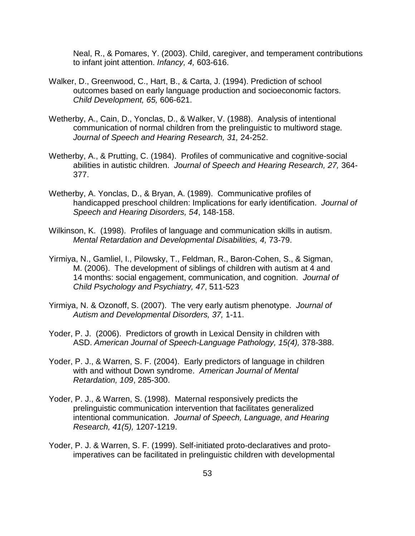Neal, R., & Pomares, Y. (2003). Child, caregiver, and temperament contributions to infant joint attention. *Infancy, 4,* 603-616.

- Walker, D., Greenwood, C., Hart, B., & Carta, J. (1994). Prediction of school outcomes based on early language production and socioeconomic factors. *Child Development, 65,* 606-621.
- Wetherby, A., Cain, D., Yonclas, D., & Walker, V. (1988). Analysis of intentional communication of normal children from the prelinguistic to multiword stage*. Journal of Speech and Hearing Research, 31,* 24-252.
- Wetherby, A., & Prutting, C. (1984). Profiles of communicative and cognitive-social abilities in autistic children. *Journal of Speech and Hearing Research, 27,* 364- 377.
- Wetherby, A. Yonclas, D., & Bryan, A. (1989). Communicative profiles of handicapped preschool children: Implications for early identification. *Journal of Speech and Hearing Disorders, 54*, 148-158.
- Wilkinson, K. (1998). Profiles of language and communication skills in autism. *Mental Retardation and Developmental Disabilities, 4,* 73-79.
- Yirmiya, N., Gamliel, I., Pilowsky, T., Feldman, R., Baron-Cohen, S., & Sigman, M. (2006). The development of siblings of children with autism at 4 and 14 months: social engagement, communication, and cognition. *Journal of Child Psychology and Psychiatry, 47*, 511-523
- Yirmiya, N. & Ozonoff, S. (2007). The very early autism phenotype. *Journal of Autism and Developmental Disorders, 37,* 1-11.
- Yoder, P. J. (2006). Predictors of growth in Lexical Density in children with ASD. *American Journal of Speech-Language Pathology, 15(4),* 378-388.
- Yoder, P. J., & Warren, S. F. (2004). Early predictors of language in children with and without Down syndrome. *American Journal of Mental Retardation, 109*, 285-300.
- Yoder, P. J., & Warren, S. (1998). Maternal responsively predicts the prelinguistic communication intervention that facilitates generalized intentional communication. *Journal of Speech, Language, and Hearing Research, 41(5),* 1207-1219.
- Yoder, P. J. & Warren, S. F. (1999). Self-initiated proto-declaratives and protoimperatives can be facilitated in prelinguistic children with developmental